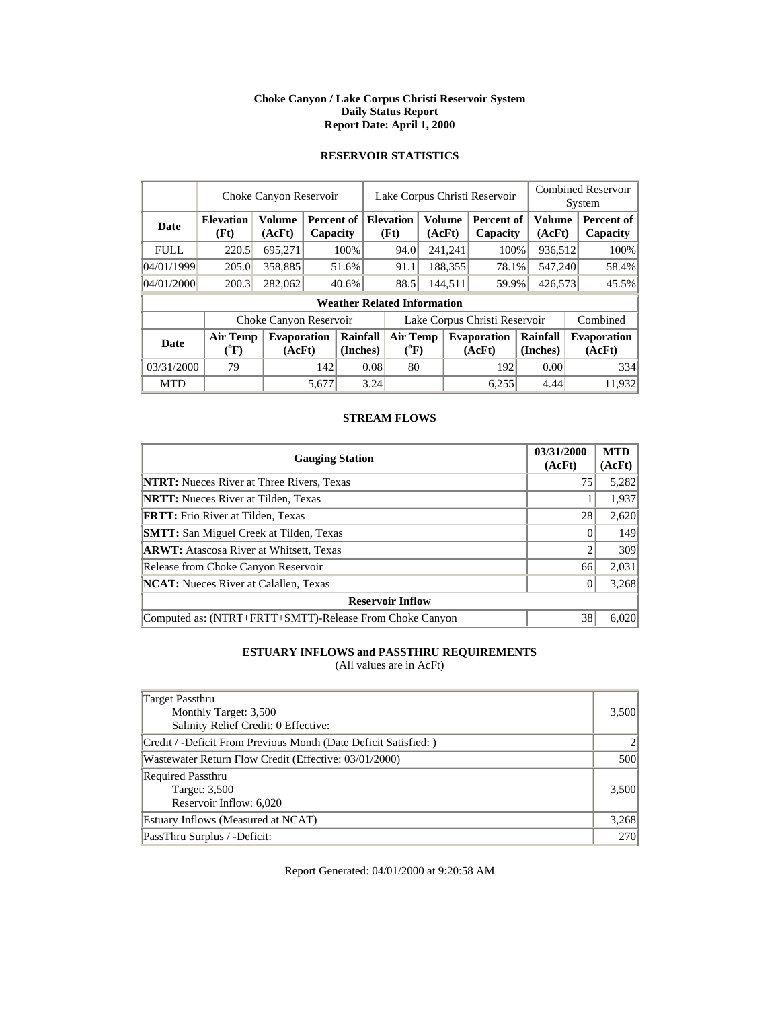#### **Choke Canyon / Lake Corpus Christi Reservoir System Daily Status Report Report Date: April 1, 2000**

### **RESERVOIR STATISTICS**

|             | Choke Canyon Reservoir                |                              |       |                                         |                               | Lake Corpus Christi Reservoir         |  |                  |                              |                         |       | <b>Combined Reservoir</b><br>System |
|-------------|---------------------------------------|------------------------------|-------|-----------------------------------------|-------------------------------|---------------------------------------|--|------------------|------------------------------|-------------------------|-------|-------------------------------------|
| Date        | <b>Elevation</b><br>(Ft)              | <b>Volume</b><br>(AcFt)      |       | <b>Percent of Elevation</b><br>Capacity |                               | (Ft)                                  |  | Volume<br>(AcFt) | Percent of<br>Capacity       | <b>Volume</b><br>(AcFt) |       | Percent of<br>Capacity              |
| <b>FULL</b> | 220.5                                 | 695,271                      |       | 100%                                    |                               | 241,241<br>94.0                       |  |                  | 100%                         | 936,512                 |       | 100%                                |
| 04/01/1999  | 205.0                                 | 358,885                      |       | 51.6%                                   |                               | 188,355<br>91.1                       |  |                  | 78.1%                        | 547,240                 |       | 58.4%                               |
| 04/01/2000  | 200.3                                 | 282,062                      |       | 40.6%                                   |                               | 144,511<br>88.5                       |  | 59.9%            | 426,573                      |                         | 45.5% |                                     |
|             |                                       |                              |       |                                         |                               | <b>Weather Related Information</b>    |  |                  |                              |                         |       |                                     |
|             |                                       | Choke Canyon Reservoir       |       |                                         | Lake Corpus Christi Reservoir |                                       |  |                  |                              |                         |       | Combined                            |
| Date        | <b>Air Temp</b><br>$(^{0}\mathrm{F})$ | <b>Evaporation</b><br>(AcFt) |       | Rainfall<br>(Inches)                    |                               | <b>Air Temp</b><br>$({}^0\mathrm{F})$ |  |                  | <b>Evaporation</b><br>(AcFt) | Rainfall<br>(Inches)    |       | <b>Evaporation</b><br>(AcFt)        |
| 03/31/2000  | 79                                    |                              | 142   | 0.08                                    |                               | 80                                    |  |                  | 192                          | 0.00                    |       | 334                                 |
| <b>MTD</b>  |                                       |                              | 5,677 |                                         | 3.24                          |                                       |  |                  | 6,255                        | 4.44                    |       | 11.932                              |

### **STREAM FLOWS**

| <b>Gauging Station</b>                                  | 03/31/2000<br>(AcFt) | <b>MTD</b><br>(AcFt) |
|---------------------------------------------------------|----------------------|----------------------|
| <b>NTRT:</b> Nueces River at Three Rivers, Texas        | 75                   | 5,282                |
| <b>NRTT:</b> Nueces River at Tilden, Texas              |                      | 1,937                |
| <b>FRTT:</b> Frio River at Tilden, Texas                | 28                   | 2,620                |
| <b>SMTT:</b> San Miguel Creek at Tilden, Texas          |                      | 149                  |
| <b>ARWT:</b> Atascosa River at Whitsett, Texas          |                      | 309                  |
| Release from Choke Canyon Reservoir                     | 66                   | 2,031                |
| <b>NCAT:</b> Nueces River at Calallen, Texas            |                      | 3,268                |
| <b>Reservoir Inflow</b>                                 |                      |                      |
| Computed as: (NTRT+FRTT+SMTT)-Release From Choke Canyon | 38                   | 6,020                |

# **ESTUARY INFLOWS and PASSTHRU REQUIREMENTS**

(All values are in AcFt)

| Target Passthru<br>Monthly Target: 3,500<br>Salinity Relief Credit: 0 Effective: | 3,500 |
|----------------------------------------------------------------------------------|-------|
| Credit / -Deficit From Previous Month (Date Deficit Satisfied: )                 |       |
| Wastewater Return Flow Credit (Effective: 03/01/2000)                            | 500   |
| <b>Required Passthru</b><br>Target: 3,500<br>Reservoir Inflow: 6,020             | 3,500 |
| Estuary Inflows (Measured at NCAT)                                               | 3,268 |
| PassThru Surplus / -Deficit:                                                     | 270   |

Report Generated: 04/01/2000 at 9:20:58 AM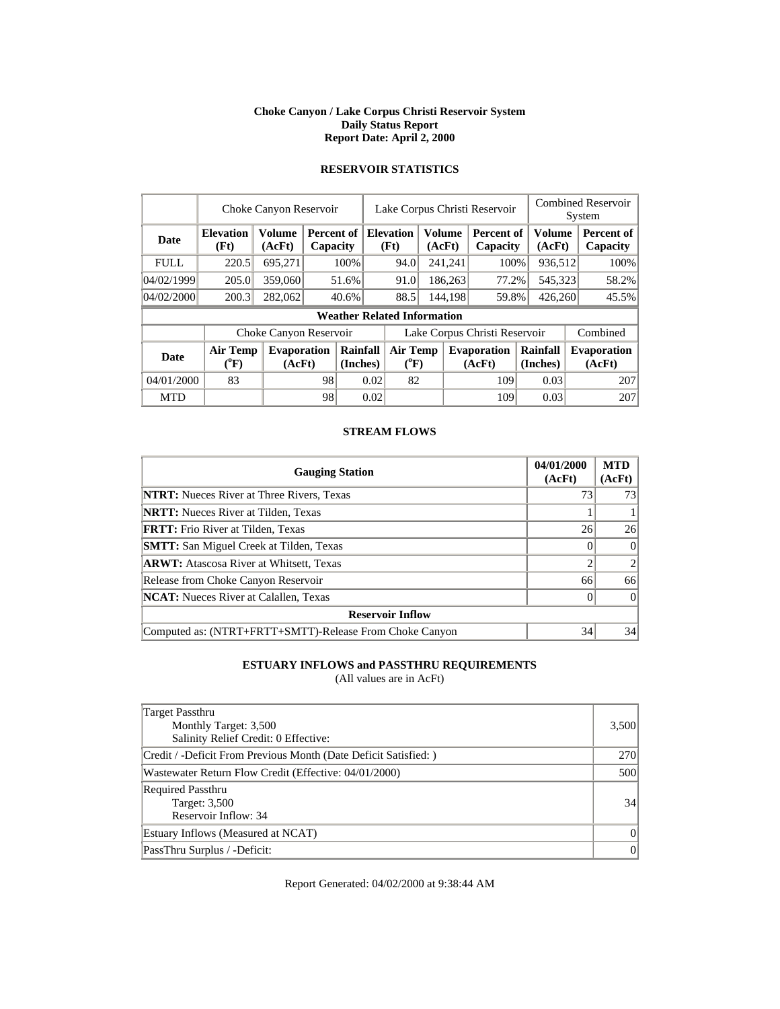#### **Choke Canyon / Lake Corpus Christi Reservoir System Daily Status Report Report Date: April 2, 2000**

|             | Choke Canyon Reservoir                |                              |    |                               |                                       | Lake Corpus Christi Reservoir                |  |         |                              |                      |  | <b>Combined Reservoir</b><br>System |  |  |
|-------------|---------------------------------------|------------------------------|----|-------------------------------|---------------------------------------|----------------------------------------------|--|---------|------------------------------|----------------------|--|-------------------------------------|--|--|
| <b>Date</b> | <b>Elevation</b><br>(Ft)              | <b>Volume</b><br>(AcFt)      |    | <b>Percent of</b><br>Capacity |                                       | <b>Elevation</b><br>Volume<br>(Ft)<br>(AcFt) |  |         | Percent of<br>Capacity       | Volume<br>(AcFt)     |  | <b>Percent of</b><br>Capacity       |  |  |
| <b>FULL</b> | 220.5                                 | 695.271                      |    | 100%                          |                                       | 241,241<br>94.0                              |  |         | 100%                         | 936,512              |  | 100%                                |  |  |
| 04/02/1999  | 205.0                                 | 359,060                      |    | 51.6%                         | 91.0                                  |                                              |  | 186,263 | 77.2%                        | 545,323              |  | 58.2%                               |  |  |
| 04/02/2000  | 200.3                                 | 282,062                      |    | 40.6%                         |                                       | 88.5                                         |  | 144,198 | 59.8%                        | 426,260              |  | 45.5%                               |  |  |
|             |                                       |                              |    |                               |                                       | <b>Weather Related Information</b>           |  |         |                              |                      |  |                                     |  |  |
|             |                                       | Choke Canyon Reservoir       |    |                               | Lake Corpus Christi Reservoir         |                                              |  |         |                              |                      |  | Combined                            |  |  |
| <b>Date</b> | <b>Air Temp</b><br>$({}^0\mathrm{F})$ | <b>Evaporation</b><br>(AcFt) |    | Rainfall<br>(Inches)          | <b>Air Temp</b><br>$({}^0\mathrm{F})$ |                                              |  |         | <b>Evaporation</b><br>(AcFt) | Rainfall<br>(Inches) |  | <b>Evaporation</b><br>(AcFt)        |  |  |
| 04/01/2000  | 83                                    |                              | 98 |                               | 0.02                                  | 82                                           |  |         | 109                          | 0.03                 |  | 207                                 |  |  |
| <b>MTD</b>  |                                       |                              | 98 |                               | 0.02                                  |                                              |  |         | 109                          | 0.03                 |  | 207                                 |  |  |

# **RESERVOIR STATISTICS**

### **STREAM FLOWS**

| <b>Gauging Station</b>                                  | 04/01/2000<br>(AcFt) | <b>MTD</b><br>(AcFt) |
|---------------------------------------------------------|----------------------|----------------------|
| <b>NTRT:</b> Nueces River at Three Rivers, Texas        | 73                   | 73                   |
| <b>NRTT:</b> Nueces River at Tilden, Texas              |                      |                      |
| <b>FRTT:</b> Frio River at Tilden, Texas                | 26                   | 26                   |
| <b>SMTT:</b> San Miguel Creek at Tilden, Texas          |                      | $\Omega$             |
| <b>ARWT:</b> Atascosa River at Whitsett, Texas          |                      |                      |
| Release from Choke Canyon Reservoir                     | 66                   | 66                   |
| <b>NCAT:</b> Nueces River at Calallen, Texas            |                      | $\Omega$             |
| <b>Reservoir Inflow</b>                                 |                      |                      |
| Computed as: (NTRT+FRTT+SMTT)-Release From Choke Canyon | 34                   | 34                   |

# **ESTUARY INFLOWS and PASSTHRU REQUIREMENTS**

(All values are in AcFt)

| Target Passthru                                                  |            |
|------------------------------------------------------------------|------------|
| Monthly Target: 3,500                                            | 3,500      |
| Salinity Relief Credit: 0 Effective:                             |            |
| Credit / -Deficit From Previous Month (Date Deficit Satisfied: ) | <b>270</b> |
| Wastewater Return Flow Credit (Effective: 04/01/2000)            | 500        |
| <b>Required Passthru</b>                                         |            |
| Target: 3,500                                                    | 34         |
| Reservoir Inflow: 34                                             |            |
| Estuary Inflows (Measured at NCAT)                               | 0          |
| PassThru Surplus / -Deficit:                                     | $\Omega$   |

Report Generated: 04/02/2000 at 9:38:44 AM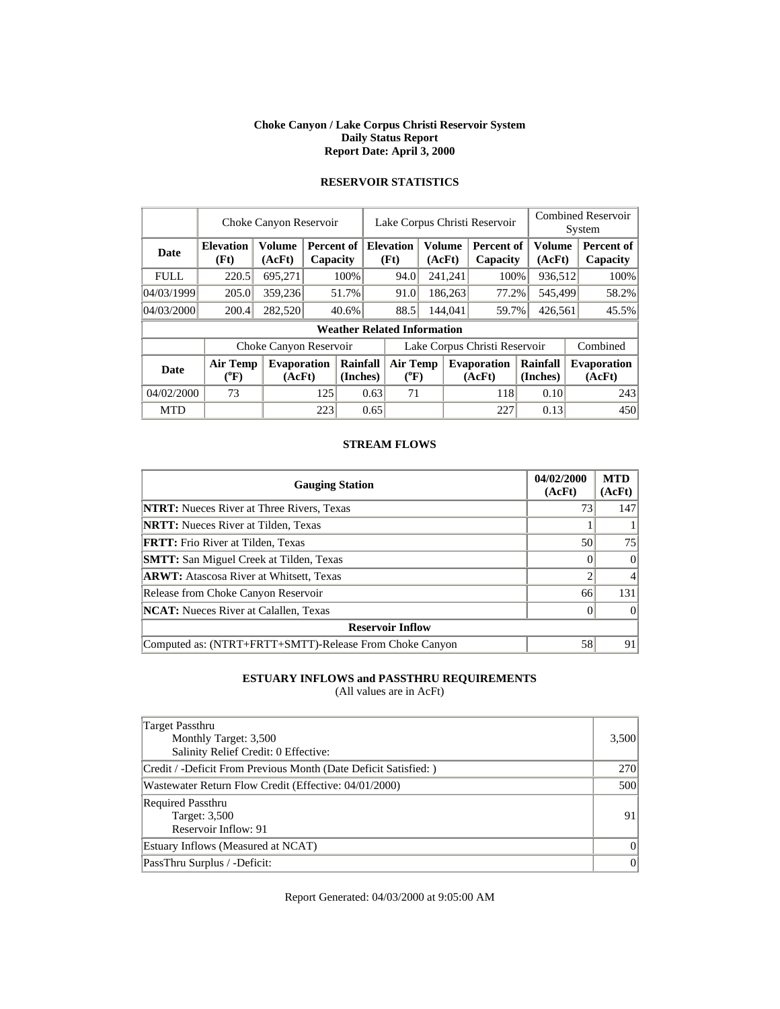#### **Choke Canyon / Lake Corpus Christi Reservoir System Daily Status Report Report Date: April 3, 2000**

# **RESERVOIR STATISTICS**

|             | Choke Canyon Reservoir       |                              |                        |                                    |                               | Lake Corpus Christi Reservoir                       |  |         |                              |  |                         | <b>Combined Reservoir</b><br>System |                              |  |
|-------------|------------------------------|------------------------------|------------------------|------------------------------------|-------------------------------|-----------------------------------------------------|--|---------|------------------------------|--|-------------------------|-------------------------------------|------------------------------|--|
| Date        | <b>Elevation</b><br>(Ft)     | Volume<br>(AcFt)             | Percent of<br>Capacity |                                    |                               | <b>Volume</b><br><b>Elevation</b><br>(Ft)<br>(AcFt) |  |         | Percent of<br>Capacity       |  | <b>Volume</b><br>(AcFt) |                                     | Percent of<br>Capacity       |  |
| <b>FULL</b> | 220.5                        | 695,271                      |                        | 100%                               |                               | 241,241<br>94.0                                     |  |         | 100%                         |  | 936,512                 |                                     | 100%                         |  |
| 04/03/1999  | 205.0                        | 359,236                      |                        | 51.7%                              |                               | 91.0                                                |  | 186,263 | 77.2%                        |  | 545,499                 |                                     | 58.2%                        |  |
| 04/03/2000  | 200.4                        | 282,520                      |                        | 40.6%                              |                               | 88.5                                                |  | 144,041 | 59.7%                        |  | 426,561                 |                                     | 45.5%                        |  |
|             |                              |                              |                        | <b>Weather Related Information</b> |                               |                                                     |  |         |                              |  |                         |                                     |                              |  |
|             |                              | Choke Canyon Reservoir       |                        |                                    | Lake Corpus Christi Reservoir |                                                     |  |         |                              |  |                         |                                     | Combined                     |  |
| <b>Date</b> | <b>Air Temp</b><br>$(^{0}F)$ | <b>Evaporation</b><br>(AcFt) |                        | Rainfall<br>(Inches)               | Air Temp<br>$(^{0}F)$         |                                                     |  |         | <b>Evaporation</b><br>(AcFt) |  | Rainfall<br>(Inches)    |                                     | <b>Evaporation</b><br>(AcFt) |  |
| 04/02/2000  | 73                           |                              | 125                    |                                    | 0.63                          | 71                                                  |  |         | 118                          |  | 0.10                    |                                     | 243                          |  |
| <b>MTD</b>  |                              |                              | 223                    |                                    | 0.65                          |                                                     |  |         | 227                          |  | 0.13                    |                                     | 450                          |  |

### **STREAM FLOWS**

| <b>Gauging Station</b>                                  | 04/02/2000<br>(AcFt) | <b>MTD</b><br>(AcFt) |
|---------------------------------------------------------|----------------------|----------------------|
| <b>NTRT:</b> Nueces River at Three Rivers, Texas        | 73                   | 147                  |
| <b>NRTT:</b> Nueces River at Tilden, Texas              |                      |                      |
| <b>FRTT:</b> Frio River at Tilden, Texas                | 50                   | 75                   |
| <b>SMTT:</b> San Miguel Creek at Tilden, Texas          |                      | $\Omega$             |
| <b>ARWT:</b> Atascosa River at Whitsett, Texas          |                      |                      |
| Release from Choke Canyon Reservoir                     | 66                   | 131                  |
| <b>NCAT:</b> Nueces River at Calallen, Texas            |                      |                      |
| <b>Reservoir Inflow</b>                                 |                      |                      |
| Computed as: (NTRT+FRTT+SMTT)-Release From Choke Canyon | 58                   | 91                   |

# **ESTUARY INFLOWS and PASSTHRU REQUIREMENTS**

(All values are in AcFt)

| Target Passthru<br>Monthly Target: 3,500<br>Salinity Relief Credit: 0 Effective: | 3,500    |
|----------------------------------------------------------------------------------|----------|
| Credit / -Deficit From Previous Month (Date Deficit Satisfied: )                 | 270      |
| Wastewater Return Flow Credit (Effective: 04/01/2000)                            | 500      |
| <b>Required Passthru</b><br>Target: 3,500<br>Reservoir Inflow: 91                | 91       |
| Estuary Inflows (Measured at NCAT)                                               | $\Omega$ |
| PassThru Surplus / -Deficit:                                                     | 0        |

Report Generated: 04/03/2000 at 9:05:00 AM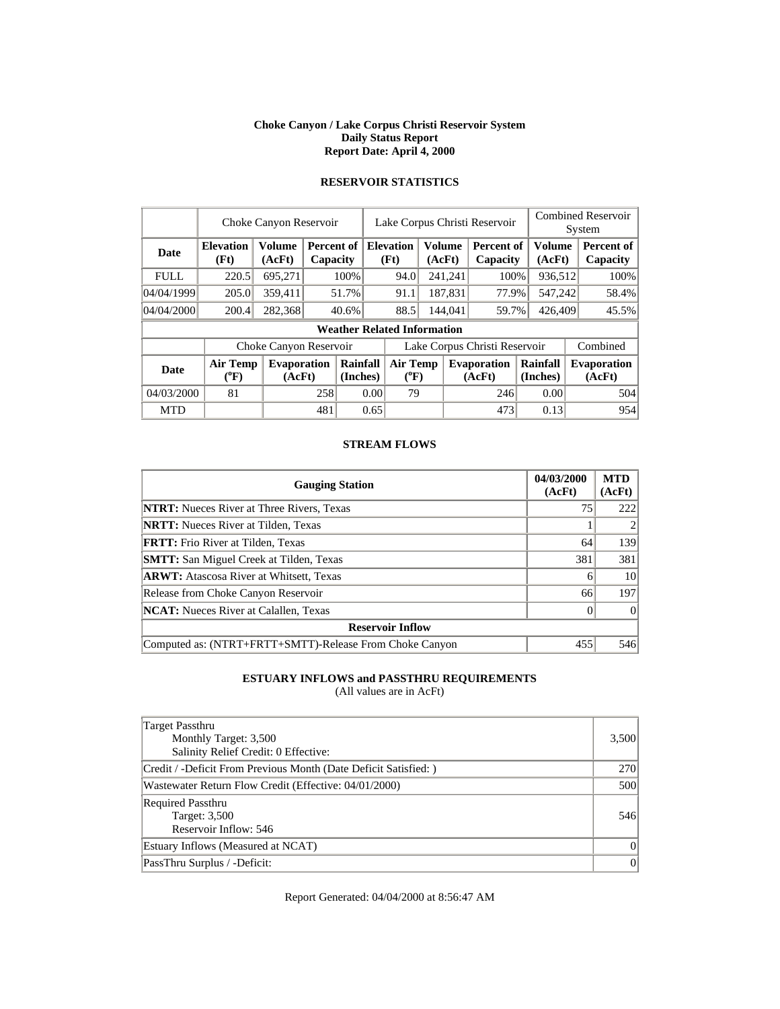#### **Choke Canyon / Lake Corpus Christi Reservoir System Daily Status Report Report Date: April 4, 2000**

|             | Choke Canyon Reservoir       |                              |     |                                    | Lake Corpus Christi Reservoir |                                                     |  |                  |                               |                      | <b>Combined Reservoir</b><br>System |                              |  |
|-------------|------------------------------|------------------------------|-----|------------------------------------|-------------------------------|-----------------------------------------------------|--|------------------|-------------------------------|----------------------|-------------------------------------|------------------------------|--|
| <b>Date</b> | <b>Elevation</b><br>(Ft)     | <b>Volume</b><br>(AcFt)      |     | Percent of<br>Capacity             |                               | <b>Elevation</b><br><b>Volume</b><br>(Ft)<br>(AcFt) |  |                  | <b>Percent of</b><br>Capacity |                      | Volume<br>(AcFt)                    | Percent of<br>Capacity       |  |
| <b>FULL</b> | 220.5                        | 695,271                      |     | 100%                               |                               | 241,241<br>94.0                                     |  |                  | 100%                          |                      | 936,512                             | 100%                         |  |
| 04/04/1999  | 205.0                        | 359,411                      |     | 51.7%                              |                               | 187,831<br>91.1                                     |  | 77.9%            |                               | 547,242              | 58.4%                               |                              |  |
| 04/04/2000  | 200.4                        | 282,368                      |     | 40.6%                              |                               | 88.5                                                |  | 144,041<br>59.7% |                               |                      | 426,409                             | 45.5%                        |  |
|             |                              |                              |     | <b>Weather Related Information</b> |                               |                                                     |  |                  |                               |                      |                                     |                              |  |
|             |                              | Choke Canyon Reservoir       |     |                                    | Lake Corpus Christi Reservoir |                                                     |  |                  |                               |                      |                                     | Combined                     |  |
| <b>Date</b> | <b>Air Temp</b><br>$(^{0}F)$ | <b>Evaporation</b><br>(AcFt) |     | Rainfall<br>(Inches)               |                               | <b>Air Temp</b><br>$(^{\circ}F)$                    |  |                  | <b>Evaporation</b><br>(AcFt)  | Rainfall<br>(Inches) |                                     | <b>Evaporation</b><br>(AcFt) |  |
| 04/03/2000  | 81                           |                              | 258 |                                    | 0.001                         | 79                                                  |  |                  | 246                           | 0.00                 |                                     | 504                          |  |
| <b>MTD</b>  |                              |                              | 481 |                                    | 0.65                          |                                                     |  |                  | 473                           | 0.13                 |                                     | 954                          |  |

# **RESERVOIR STATISTICS**

#### **STREAM FLOWS**

| <b>Gauging Station</b>                                  | 04/03/2000<br>(AcFt) | <b>MTD</b><br>(AcFt) |
|---------------------------------------------------------|----------------------|----------------------|
| <b>NTRT:</b> Nueces River at Three Rivers, Texas        | 75                   | 222                  |
| <b>NRTT:</b> Nueces River at Tilden, Texas              |                      |                      |
| <b>FRTT:</b> Frio River at Tilden, Texas                | 64                   | 139                  |
| <b>SMTT:</b> San Miguel Creek at Tilden, Texas          | 381                  | 381                  |
| <b>ARWT:</b> Atascosa River at Whitsett, Texas          | 6                    | 10                   |
| Release from Choke Canyon Reservoir                     | 66                   | 197                  |
| <b>NCAT:</b> Nueces River at Calallen, Texas            |                      | $\Omega$             |
| <b>Reservoir Inflow</b>                                 |                      |                      |
| Computed as: (NTRT+FRTT+SMTT)-Release From Choke Canyon | 455                  | 546                  |

# **ESTUARY INFLOWS and PASSTHRU REQUIREMENTS**

(All values are in AcFt)

| Target Passthru<br>Monthly Target: 3,500<br>Salinity Relief Credit: 0 Effective: | 3,500    |
|----------------------------------------------------------------------------------|----------|
| Credit / -Deficit From Previous Month (Date Deficit Satisfied: )                 | 270      |
| Wastewater Return Flow Credit (Effective: 04/01/2000)                            | 500      |
| <b>Required Passthru</b><br>Target: 3,500<br>Reservoir Inflow: 546               | 546      |
| Estuary Inflows (Measured at NCAT)                                               | $\Omega$ |
| PassThru Surplus / -Deficit:                                                     | 0        |

Report Generated: 04/04/2000 at 8:56:47 AM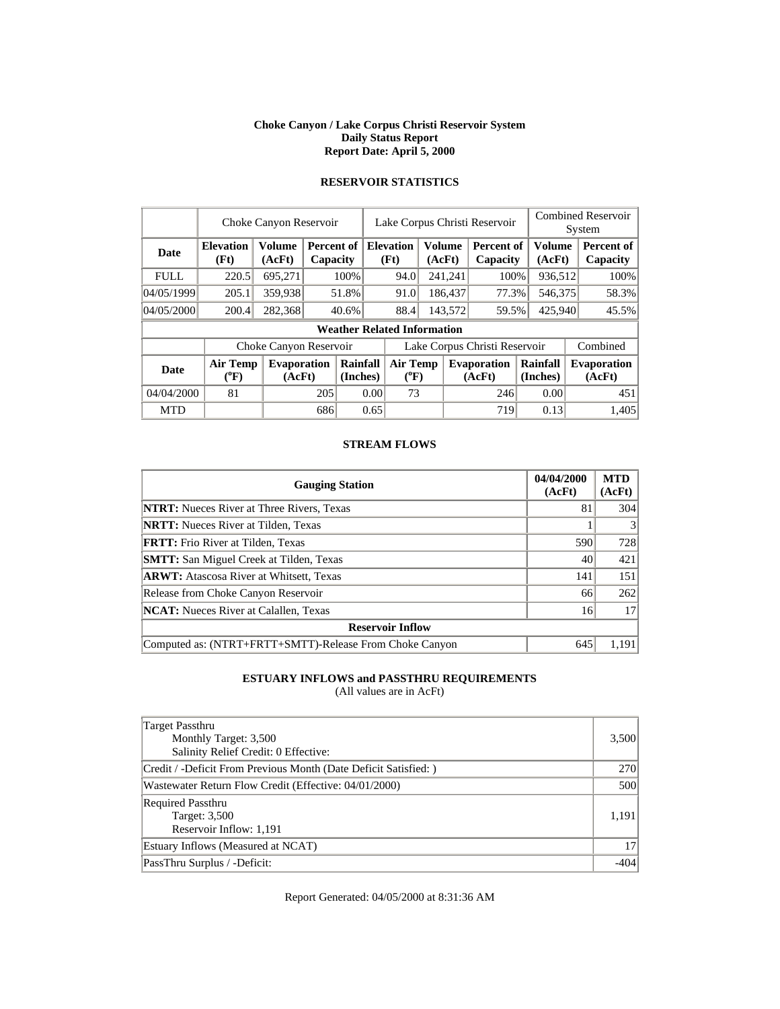#### **Choke Canyon / Lake Corpus Christi Reservoir System Daily Status Report Report Date: April 5, 2000**

|  | <b>RESERVOIR STATISTICS</b> |  |
|--|-----------------------------|--|
|  |                             |  |

|             | Choke Canyon Reservoir                |                              |                               |                      | Lake Corpus Christi Reservoir      |                  |                         |                               |                         | <b>Combined Reservoir</b><br>System |                               |  |
|-------------|---------------------------------------|------------------------------|-------------------------------|----------------------|------------------------------------|------------------|-------------------------|-------------------------------|-------------------------|-------------------------------------|-------------------------------|--|
| Date        | <b>Elevation</b><br>(Ft)              | Volume<br>(AcFt)             | <b>Percent of</b><br>Capacity |                      | <b>Elevation</b><br>(Ft)           |                  | <b>Volume</b><br>(AcFt) | <b>Percent of</b><br>Capacity | <b>Volume</b><br>(AcFt) |                                     | <b>Percent of</b><br>Capacity |  |
| <b>FULL</b> | 220.5                                 | 695,271                      |                               | 100%                 | 94.0                               |                  | 241,241                 | 100%                          | 936,512                 |                                     | 100%                          |  |
| 04/05/1999  | 205.1                                 | 359,938                      |                               | 51.8%                | 91.0                               |                  | 186,437<br>77.3%        |                               | 546,375                 |                                     | 58.3%                         |  |
| 04/05/2000  | 200.4                                 | 282,368                      |                               | 40.6%                | 88.4                               | 143,572<br>59.5% |                         | 425,940                       |                         | 45.5%                               |                               |  |
|             |                                       |                              |                               |                      | <b>Weather Related Information</b> |                  |                         |                               |                         |                                     |                               |  |
|             |                                       | Choke Canyon Reservoir       |                               |                      | Lake Corpus Christi Reservoir      |                  |                         |                               |                         |                                     | Combined                      |  |
| <b>Date</b> | <b>Air Temp</b><br>$({}^0\mathrm{F})$ | <b>Evaporation</b><br>(AcFt) |                               | Rainfall<br>(Inches) | <b>Air Temp</b><br>$(^{0}F)$       |                  |                         | <b>Evaporation</b><br>(AcFt)  | Rainfall<br>(Inches)    |                                     | <b>Evaporation</b><br>(AcFt)  |  |
| 04/04/2000  | 81                                    |                              | 205                           |                      | 0.00<br>73                         |                  |                         | 246                           | 0.00                    |                                     | 451                           |  |
| <b>MTD</b>  |                                       |                              | 686                           |                      | 0.65                               |                  |                         | 719                           | 0.13                    |                                     | 1,405                         |  |

#### **STREAM FLOWS**

| <b>Gauging Station</b>                                  | 04/04/2000<br>(AcFt) | <b>MTD</b><br>(AcFt) |  |  |  |
|---------------------------------------------------------|----------------------|----------------------|--|--|--|
| <b>NTRT:</b> Nueces River at Three Rivers, Texas        | 81                   | 304                  |  |  |  |
| <b>NRTT:</b> Nueces River at Tilden, Texas              |                      |                      |  |  |  |
| <b>FRTT:</b> Frio River at Tilden, Texas                | 590                  | 728                  |  |  |  |
| <b>SMTT:</b> San Miguel Creek at Tilden, Texas          | 40                   | 421                  |  |  |  |
| <b>ARWT:</b> Atascosa River at Whitsett, Texas          | 141                  | 151                  |  |  |  |
| Release from Choke Canyon Reservoir                     | 66                   | 262                  |  |  |  |
| <b>NCAT:</b> Nueces River at Calallen, Texas            | 16                   | 17                   |  |  |  |
| <b>Reservoir Inflow</b>                                 |                      |                      |  |  |  |
| Computed as: (NTRT+FRTT+SMTT)-Release From Choke Canyon | 645                  | 1.191                |  |  |  |

# **ESTUARY INFLOWS and PASSTHRU REQUIREMENTS**

(All values are in AcFt)

| Target Passthru<br>Monthly Target: 3,500<br>Salinity Relief Credit: 0 Effective: | 3,500      |
|----------------------------------------------------------------------------------|------------|
| Credit / -Deficit From Previous Month (Date Deficit Satisfied: )                 | <b>270</b> |
| Wastewater Return Flow Credit (Effective: 04/01/2000)                            | 500        |
| <b>Required Passthru</b><br>Target: 3,500<br>Reservoir Inflow: 1,191             | 1,191      |
| Estuary Inflows (Measured at NCAT)                                               | 17         |
| PassThru Surplus / -Deficit:                                                     | $-404$     |

Report Generated: 04/05/2000 at 8:31:36 AM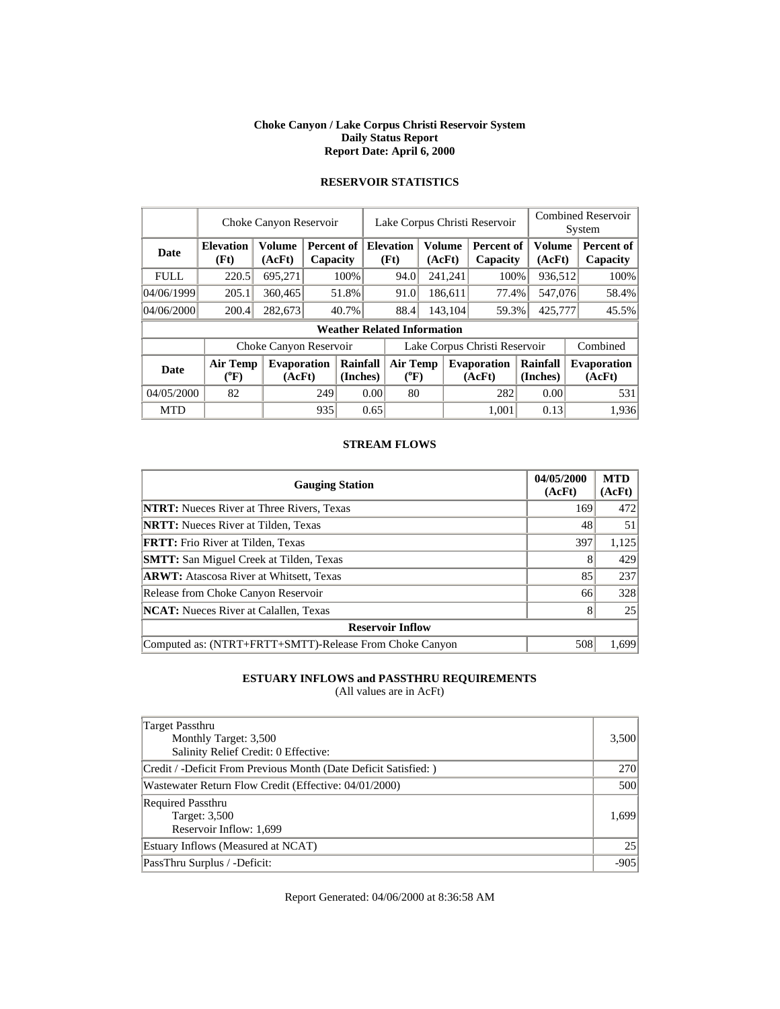#### **Choke Canyon / Lake Corpus Christi Reservoir System Daily Status Report Report Date: April 6, 2000**

# **RESERVOIR STATISTICS**

|             |                              | Choke Canyon Reservoir       |                        |                                    | Lake Corpus Christi Reservoir |                              |                         |         |                               |  | <b>Combined Reservoir</b><br>System |          |                              |
|-------------|------------------------------|------------------------------|------------------------|------------------------------------|-------------------------------|------------------------------|-------------------------|---------|-------------------------------|--|-------------------------------------|----------|------------------------------|
| Date        | <b>Elevation</b><br>(Ft)     | Volume<br>(AcFt)             | Percent of<br>Capacity |                                    |                               | <b>Elevation</b><br>(Ft)     | <b>Volume</b><br>(AcFt) |         | <b>Percent of</b><br>Capacity |  | <b>Volume</b><br>(AcFt)             |          | Percent of<br>Capacity       |
| <b>FULL</b> | 220.5                        | 695.271                      |                        | 100%                               |                               | 94.0                         |                         | 241,241 | 100%                          |  | 936,512                             |          | 100%                         |
| 04/06/1999  | 205.1                        | 360,465                      |                        | 51.8%                              |                               | 91.0                         |                         | 186,611 | 77.4%                         |  | 547,076                             |          | 58.4%                        |
| 04/06/2000  | 200.4                        | 282,673                      |                        | 40.7%                              |                               | 88.4                         |                         | 143,104 | 59.3%                         |  | 425,777                             |          | 45.5%                        |
|             |                              |                              |                        | <b>Weather Related Information</b> |                               |                              |                         |         |                               |  |                                     |          |                              |
|             |                              | Choke Canyon Reservoir       |                        |                                    | Lake Corpus Christi Reservoir |                              |                         |         |                               |  |                                     | Combined |                              |
| <b>Date</b> | <b>Air Temp</b><br>$(^{0}F)$ | <b>Evaporation</b><br>(AcFt) |                        | Rainfall<br>(Inches)               |                               | <b>Air Temp</b><br>$(^{0}F)$ |                         |         | <b>Evaporation</b><br>(AcFt)  |  | Rainfall<br>(Inches)                |          | <b>Evaporation</b><br>(AcFt) |
| 04/05/2000  | 82                           |                              | 249                    |                                    | 0.00                          | 80                           |                         |         | 282                           |  | 0.00                                |          | 531                          |
| <b>MTD</b>  |                              |                              | 935                    |                                    | 0.65                          |                              |                         |         | 1.001                         |  | 0.13                                |          | 1,936                        |

#### **STREAM FLOWS**

| <b>Gauging Station</b>                                  | 04/05/2000<br>(AcFt) | <b>MTD</b><br>(AcFt) |  |  |  |
|---------------------------------------------------------|----------------------|----------------------|--|--|--|
| <b>NTRT:</b> Nueces River at Three Rivers, Texas        | 169                  | 472                  |  |  |  |
| <b>NRTT:</b> Nueces River at Tilden, Texas              | 48                   | 51                   |  |  |  |
| <b>FRTT:</b> Frio River at Tilden, Texas                | 397                  | 1,125                |  |  |  |
| <b>SMTT:</b> San Miguel Creek at Tilden, Texas          |                      | 429                  |  |  |  |
| <b>ARWT:</b> Atascosa River at Whitsett, Texas          | 85                   | 237                  |  |  |  |
| Release from Choke Canyon Reservoir                     | 66                   | 328                  |  |  |  |
| <b>NCAT:</b> Nueces River at Calallen, Texas            | 8                    | 25                   |  |  |  |
| <b>Reservoir Inflow</b>                                 |                      |                      |  |  |  |
| Computed as: (NTRT+FRTT+SMTT)-Release From Choke Canyon | 508                  | 1.699                |  |  |  |

# **ESTUARY INFLOWS and PASSTHRU REQUIREMENTS**

(All values are in AcFt)

| Target Passthru<br>Monthly Target: 3,500<br>Salinity Relief Credit: 0 Effective: | 3,500 |  |  |
|----------------------------------------------------------------------------------|-------|--|--|
| Credit / -Deficit From Previous Month (Date Deficit Satisfied:)                  | 270   |  |  |
| Wastewater Return Flow Credit (Effective: 04/01/2000)                            | 500   |  |  |
| <b>Required Passthru</b><br>Target: 3,500<br>Reservoir Inflow: 1,699             | 1.699 |  |  |
| Estuary Inflows (Measured at NCAT)                                               | 25    |  |  |
| PassThru Surplus / -Deficit:                                                     |       |  |  |

Report Generated: 04/06/2000 at 8:36:58 AM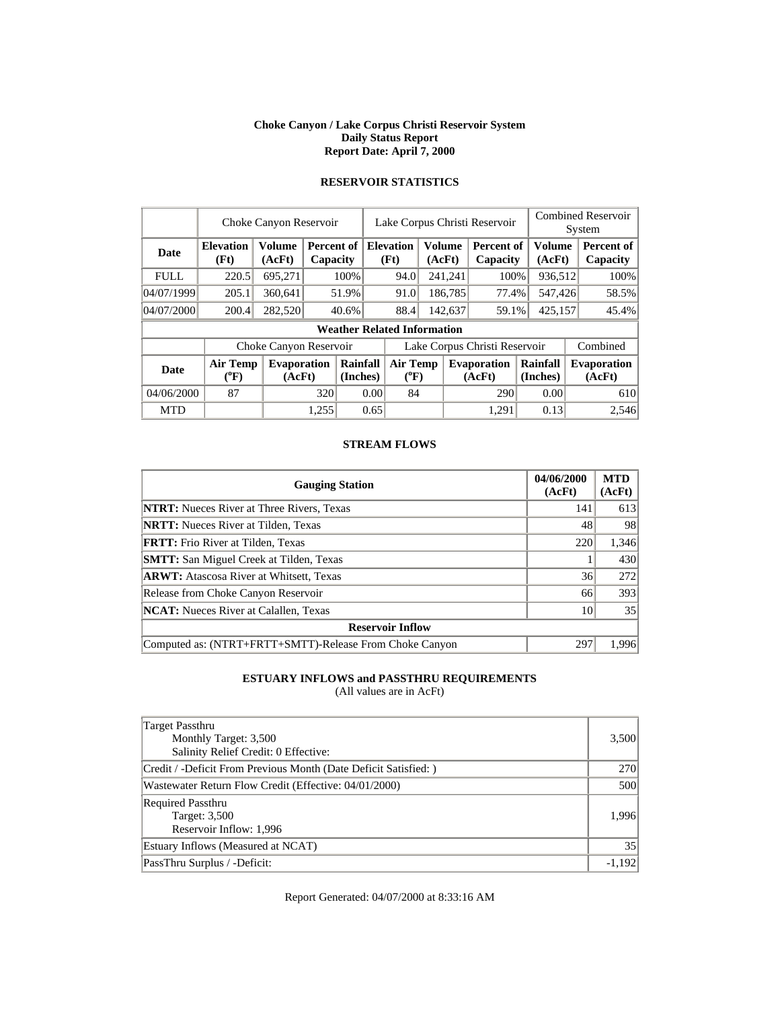#### **Choke Canyon / Lake Corpus Christi Reservoir System Daily Status Report Report Date: April 7, 2000**

| <b>RESERVOIR STATISTICS</b> |  |
|-----------------------------|--|
|                             |  |
|                             |  |

 $\overline{\phantom{a}}$ 

|             | Choke Canyon Reservoir                                                          |                        |                        | Lake Corpus Christi Reservoir |                               |                                    |                      |         |                              | <b>Combined Reservoir</b><br>System |                         |  |                        |
|-------------|---------------------------------------------------------------------------------|------------------------|------------------------|-------------------------------|-------------------------------|------------------------------------|----------------------|---------|------------------------------|-------------------------------------|-------------------------|--|------------------------|
| Date        | <b>Elevation</b><br>(Ft)                                                        | Volume<br>(AcFt)       | Percent of<br>Capacity |                               |                               | <b>Elevation</b><br>(Ft)           | <b>Volume</b>        | (AcFt)  | Percent of<br>Capacity       |                                     | <b>Volume</b><br>(AcFt) |  | Percent of<br>Capacity |
| <b>FULL</b> | 220.5                                                                           | 695,271                |                        | 100%                          |                               | 94.0                               |                      | 241,241 | 100%                         |                                     | 936,512                 |  | 100%                   |
| 04/07/1999  | 205.1                                                                           | 360.641                |                        | 51.9%                         |                               | 91.0                               |                      | 186,785 | 77.4%                        |                                     | 547,426                 |  | 58.5%                  |
| 04/07/2000  | 200.4                                                                           | 282,520                |                        | 40.6%                         |                               | 88.4                               |                      | 142,637 | 59.1%                        |                                     | 425,157                 |  | 45.4%                  |
|             |                                                                                 |                        |                        |                               |                               | <b>Weather Related Information</b> |                      |         |                              |                                     |                         |  |                        |
|             |                                                                                 | Choke Canyon Reservoir |                        |                               | Lake Corpus Christi Reservoir |                                    |                      |         | Combined                     |                                     |                         |  |                        |
| Date        | Rainfall<br>Air Temp<br>Evaporation<br>$({}^0\mathrm{F})$<br>(Inches)<br>(AcFt) |                        | Air Temp<br>$(^{0}F)$  | <b>Evaporation</b><br>(AcFt)  |                               |                                    | Rainfall<br>(Inches) |         | <b>Evaporation</b><br>(AcFt) |                                     |                         |  |                        |
| 04/06/2000  | 87                                                                              |                        | 320                    | 0.00                          |                               | 84                                 |                      |         | 290                          |                                     | 0.00                    |  | 610                    |
| <b>MTD</b>  |                                                                                 |                        | 1,255                  |                               | 0.65                          |                                    |                      |         | 1.291                        |                                     | 0.13                    |  | 2,546                  |

#### **STREAM FLOWS**

| <b>Gauging Station</b>                                  | 04/06/2000<br>(AcFt) | <b>MTD</b><br>(AcFt) |  |  |  |
|---------------------------------------------------------|----------------------|----------------------|--|--|--|
| <b>NTRT:</b> Nueces River at Three Rivers, Texas        | 141                  | 613                  |  |  |  |
| <b>NRTT:</b> Nueces River at Tilden, Texas              | 48                   | 98                   |  |  |  |
| <b>FRTT:</b> Frio River at Tilden, Texas                | 220                  | 1,346                |  |  |  |
| <b>SMTT:</b> San Miguel Creek at Tilden, Texas          |                      | 430                  |  |  |  |
| <b>ARWT:</b> Atascosa River at Whitsett, Texas          | 36                   | 272                  |  |  |  |
| Release from Choke Canyon Reservoir                     | 66                   | 393                  |  |  |  |
| <b>NCAT:</b> Nueces River at Calallen, Texas            | 10                   | 35                   |  |  |  |
| <b>Reservoir Inflow</b>                                 |                      |                      |  |  |  |
| Computed as: (NTRT+FRTT+SMTT)-Release From Choke Canyon | 297                  | 1.996                |  |  |  |

# **ESTUARY INFLOWS and PASSTHRU REQUIREMENTS**

(All values are in AcFt)

| Target Passthru<br>Monthly Target: 3,500<br>Salinity Relief Credit: 0 Effective: | 3,500    |
|----------------------------------------------------------------------------------|----------|
| Credit / -Deficit From Previous Month (Date Deficit Satisfied: )                 | 270      |
| Wastewater Return Flow Credit (Effective: 04/01/2000)                            | 500      |
| <b>Required Passthru</b><br>Target: 3,500<br>Reservoir Inflow: 1,996             | 1.996    |
| Estuary Inflows (Measured at NCAT)                                               | 35       |
| PassThru Surplus / -Deficit:                                                     | $-1.192$ |

Report Generated: 04/07/2000 at 8:33:16 AM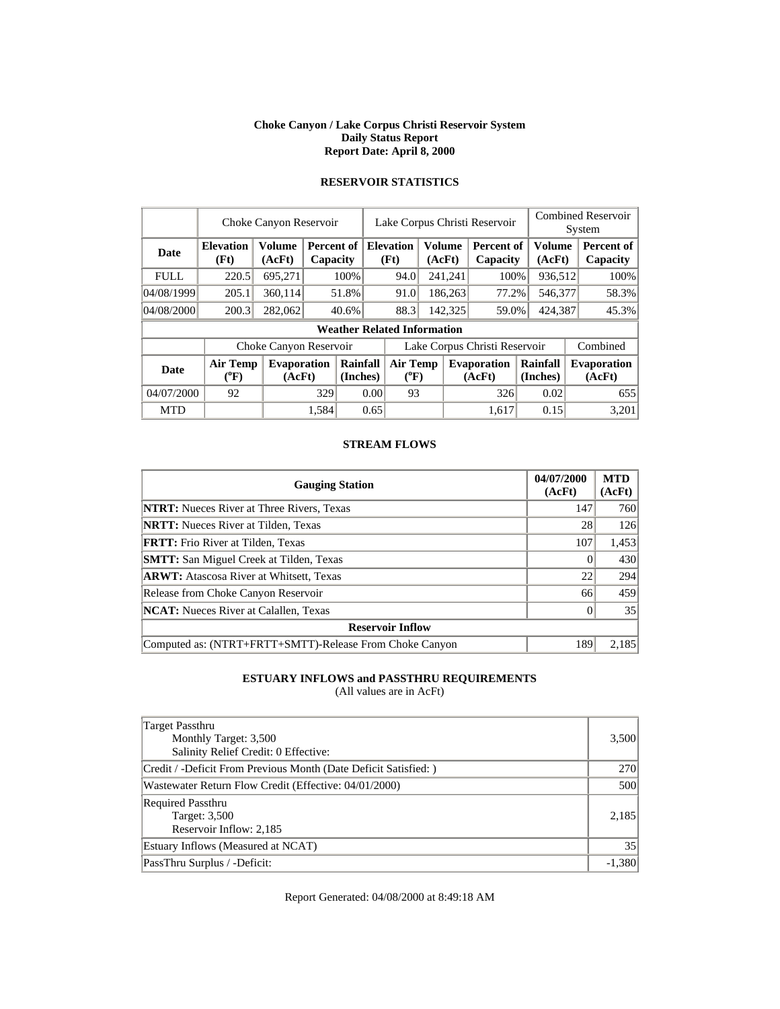#### **Choke Canyon / Lake Corpus Christi Reservoir System Daily Status Report Report Date: April 8, 2000**

| <b>RESERVOIR STATISTICS</b> |
|-----------------------------|
|                             |

|             | Choke Canyon Reservoir   | Lake Corpus Christi Reservoir |       |                               |                               |                                    |         | <b>Combined Reservoir</b><br>System |                               |  |                         |  |                              |  |
|-------------|--------------------------|-------------------------------|-------|-------------------------------|-------------------------------|------------------------------------|---------|-------------------------------------|-------------------------------|--|-------------------------|--|------------------------------|--|
| <b>Date</b> | <b>Elevation</b><br>(Ft) | Volume<br>(AcFt)              |       | <b>Percent of</b><br>Capacity |                               | <b>Elevation</b><br>(Ft)           |         | <b>Volume</b><br>(AcFt)             | <b>Percent of</b><br>Capacity |  | <b>Volume</b><br>(AcFt) |  | Percent of<br>Capacity       |  |
| <b>FULL</b> | 220.5                    | 695,271                       |       | 100%                          |                               | 94.0                               |         | 241,241                             | 100%                          |  | 936,512                 |  | 100%                         |  |
| 04/08/1999  | 205.1                    | 360,114                       |       | 51.8%                         |                               | 91.0                               |         | 186,263                             | 77.2%                         |  | 546,377                 |  | 58.3%                        |  |
| 04/08/2000  | 200.3                    | 282,062                       |       | 40.6%                         |                               | 88.3                               | 142,325 |                                     | 59.0%                         |  | 424.387                 |  | 45.3%                        |  |
|             |                          |                               |       |                               |                               | <b>Weather Related Information</b> |         |                                     |                               |  |                         |  |                              |  |
|             |                          | Choke Canyon Reservoir        |       |                               | Lake Corpus Christi Reservoir |                                    |         |                                     |                               |  |                         |  | Combined                     |  |
| <b>Date</b> | Air Temp<br>(°F)         | <b>Evaporation</b><br>(AcFt)  |       | Rainfall<br>(Inches)          |                               | <b>Air Temp</b><br>$(^{0}F)$       |         |                                     | <b>Evaporation</b><br>(AcFt)  |  | Rainfall<br>(Inches)    |  | <b>Evaporation</b><br>(AcFt) |  |
| 04/07/2000  | 92                       |                               | 329   | 0.00                          |                               |                                    | 93      |                                     | 326                           |  | 0.02                    |  | 655                          |  |
| <b>MTD</b>  |                          |                               | 1.584 |                               | 0.65                          |                                    |         |                                     | 1.617                         |  | 0.15                    |  | 3.201                        |  |

#### **STREAM FLOWS**

| <b>Gauging Station</b>                                  | 04/07/2000<br>(AcFt) | <b>MTD</b><br>(AcFt) |
|---------------------------------------------------------|----------------------|----------------------|
| <b>NTRT:</b> Nueces River at Three Rivers, Texas        | 147                  | 760                  |
| <b>NRTT:</b> Nueces River at Tilden, Texas              | 28                   | 126                  |
| <b>FRTT:</b> Frio River at Tilden, Texas                | 107                  | 1,453                |
| <b>SMTT:</b> San Miguel Creek at Tilden, Texas          |                      | 430                  |
| <b>ARWT:</b> Atascosa River at Whitsett, Texas          | 22                   | 294                  |
| Release from Choke Canyon Reservoir                     | 66                   | 459                  |
| <b>NCAT:</b> Nueces River at Calallen, Texas            |                      | 35                   |
| <b>Reservoir Inflow</b>                                 |                      |                      |
| Computed as: (NTRT+FRTT+SMTT)-Release From Choke Canyon | 189                  | 2.185                |

# **ESTUARY INFLOWS and PASSTHRU REQUIREMENTS**

(All values are in AcFt)

| <b>Target Passthru</b><br>Monthly Target: 3,500<br>Salinity Relief Credit: 0 Effective: | 3,500    |
|-----------------------------------------------------------------------------------------|----------|
| Credit / -Deficit From Previous Month (Date Deficit Satisfied:)                         | 270      |
| Wastewater Return Flow Credit (Effective: 04/01/2000)                                   | 500      |
| <b>Required Passthru</b><br>Target: 3,500<br>Reservoir Inflow: 2,185                    | 2.185    |
| Estuary Inflows (Measured at NCAT)                                                      | 35       |
| PassThru Surplus / -Deficit:                                                            | $-1,380$ |

Report Generated: 04/08/2000 at 8:49:18 AM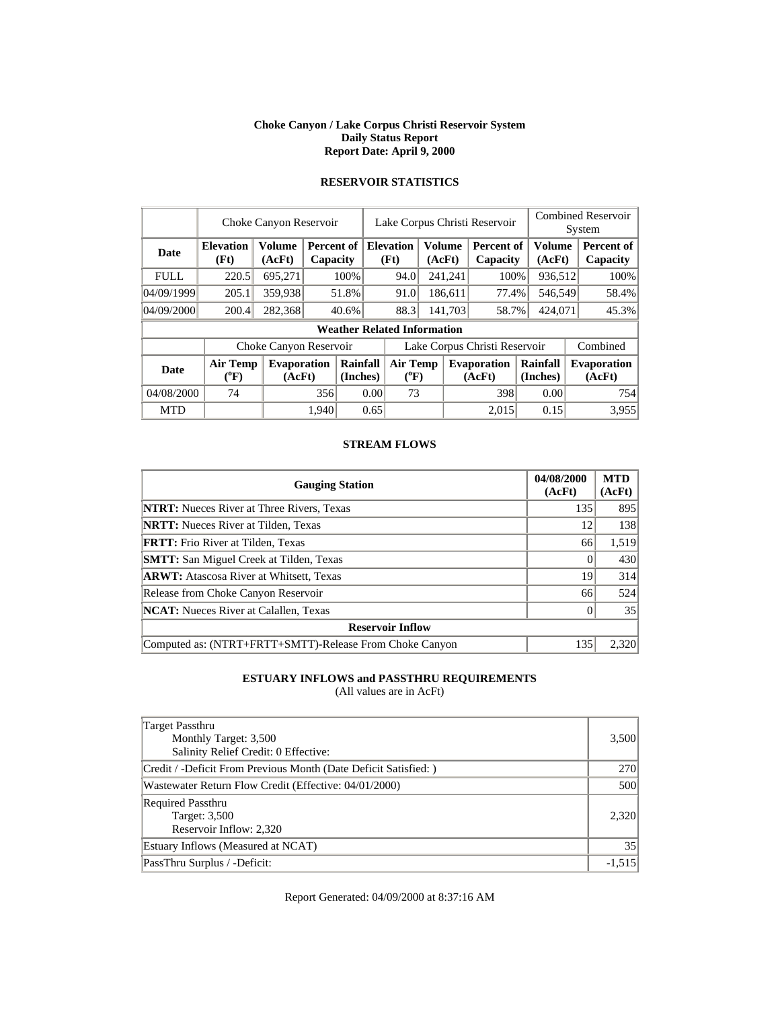#### **Choke Canyon / Lake Corpus Christi Reservoir System Daily Status Report Report Date: April 9, 2000**

|             | Choke Canyon Reservoir   |                              |       |                        |                               | Lake Corpus Christi Reservoir      |        |               |                               |                         |  | <b>Combined Reservoir</b><br>System |  |  |
|-------------|--------------------------|------------------------------|-------|------------------------|-------------------------------|------------------------------------|--------|---------------|-------------------------------|-------------------------|--|-------------------------------------|--|--|
| <b>Date</b> | <b>Elevation</b><br>(Ft) | Volume<br>(AcFt)             |       | Percent of<br>Capacity |                               | <b>Elevation</b><br>(Ft)           | (AcFt) | <b>Volume</b> | <b>Percent of</b><br>Capacity | <b>Volume</b><br>(AcFt) |  | Percent of<br><b>Capacity</b>       |  |  |
| <b>FULL</b> | 220.5                    | 695,271                      |       | 100%                   |                               | 94.0                               |        | 241,241       | 100%                          | 936,512                 |  | $100\%$                             |  |  |
| 04/09/1999  | 205.1                    | 359,938                      |       | 51.8%                  |                               | 91.0                               |        | 186,611       | 77.4%                         | 546,549                 |  | 58.4%                               |  |  |
| 04/09/2000  | 200.4                    | 282,368                      |       | 40.6%                  |                               | 88.3                               |        | 141.703       | 58.7%                         | 424,071                 |  | 45.3%                               |  |  |
|             |                          |                              |       |                        |                               | <b>Weather Related Information</b> |        |               |                               |                         |  |                                     |  |  |
|             |                          | Choke Canyon Reservoir       |       |                        | Lake Corpus Christi Reservoir |                                    |        |               |                               |                         |  | Combined                            |  |  |
| <b>Date</b> | Air Temp<br>$(^{0}F)$    | <b>Evaporation</b><br>(AcFt) |       | Rainfall<br>(Inches)   |                               | <b>Air Temp</b><br>$(^{0}F)$       |        |               | <b>Evaporation</b><br>(AcFt)  | Rainfall<br>(Inches)    |  | <b>Evaporation</b><br>(AcFt)        |  |  |
| 04/08/2000  | 74                       |                              |       | 0.00<br>356            |                               | 73                                 |        |               | 398                           | 0.00                    |  | 754                                 |  |  |
| <b>MTD</b>  |                          |                              | 1.940 |                        | 0.65                          |                                    |        |               | 2.015                         | 0.15                    |  | 3.955                               |  |  |

# **RESERVOIR STATISTICS**

#### **STREAM FLOWS**

| <b>Gauging Station</b>                                  | 04/08/2000<br>(AcFt) | <b>MTD</b><br>(AcFt) |
|---------------------------------------------------------|----------------------|----------------------|
| <b>NTRT:</b> Nueces River at Three Rivers, Texas        | 135                  | 895                  |
| <b>NRTT:</b> Nueces River at Tilden, Texas              | 12                   | 138                  |
| <b>FRTT:</b> Frio River at Tilden, Texas                | 66                   | 1,519                |
| <b>SMTT:</b> San Miguel Creek at Tilden, Texas          |                      | 430                  |
| <b>ARWT:</b> Atascosa River at Whitsett, Texas          | 19                   | 314                  |
| Release from Choke Canyon Reservoir                     | 66                   | 524                  |
| <b>NCAT:</b> Nueces River at Calallen, Texas            |                      | 35                   |
| <b>Reservoir Inflow</b>                                 |                      |                      |
| Computed as: (NTRT+FRTT+SMTT)-Release From Choke Canyon | 135                  | 2,320                |

# **ESTUARY INFLOWS and PASSTHRU REQUIREMENTS**

(All values are in AcFt)

| Target Passthru<br>Monthly Target: 3,500<br>Salinity Relief Credit: 0 Effective: | 3,500    |
|----------------------------------------------------------------------------------|----------|
| Credit / -Deficit From Previous Month (Date Deficit Satisfied:)                  | 270      |
| Wastewater Return Flow Credit (Effective: 04/01/2000)                            | 500      |
| <b>Required Passthru</b><br>Target: 3,500<br>Reservoir Inflow: 2,320             | 2.320    |
| Estuary Inflows (Measured at NCAT)                                               | 35       |
| PassThru Surplus / -Deficit:                                                     | $-1,515$ |

Report Generated: 04/09/2000 at 8:37:16 AM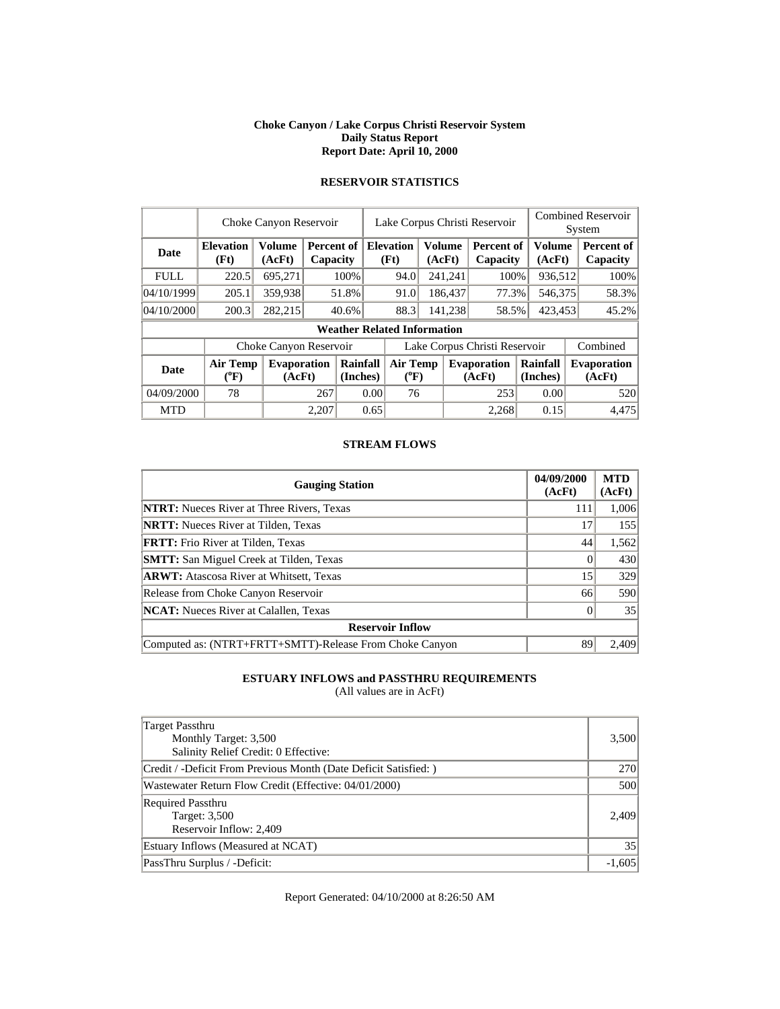#### **Choke Canyon / Lake Corpus Christi Reservoir System Daily Status Report Report Date: April 10, 2000**

|             | Choke Canyon Reservoir   | Lake Corpus Christi Reservoir |       |                        |                               |                                    |         |                         |                               | <b>Combined Reservoir</b><br>System |                  |  |                              |
|-------------|--------------------------|-------------------------------|-------|------------------------|-------------------------------|------------------------------------|---------|-------------------------|-------------------------------|-------------------------------------|------------------|--|------------------------------|
| Date        | <b>Elevation</b><br>(Ft) | <b>Volume</b><br>(AcFt)       |       | Percent of<br>Capacity |                               | <b>Elevation</b><br>(Ft)           |         | <b>Volume</b><br>(AcFt) | <b>Percent of</b><br>Capacity |                                     | Volume<br>(AcFt) |  | Percent of<br>Capacity       |
| <b>FULL</b> | 220.5                    | 695,271                       |       | 100%                   |                               | 94.0                               |         | 241,241                 | 100%                          |                                     | 936,512          |  | 100%                         |
| 04/10/1999  | 205.1                    | 359,938                       |       | 51.8%                  |                               | 91.0                               |         | 186,437                 | 77.3%                         |                                     | 546,375          |  | 58.3%                        |
| 04/10/2000  | 200.3                    | 282,215                       |       | 40.6%                  |                               | 88.3                               | 141,238 |                         | 58.5%                         | 423,453                             |                  |  | 45.2%                        |
|             |                          |                               |       |                        |                               | <b>Weather Related Information</b> |         |                         |                               |                                     |                  |  |                              |
|             |                          | Choke Canyon Reservoir        |       |                        | Lake Corpus Christi Reservoir |                                    |         |                         |                               |                                     |                  |  | Combined                     |
| <b>Date</b> | Air Temp<br>$(^{0}F)$    | <b>Evaporation</b><br>(AcFt)  |       | Rainfall<br>(Inches)   |                               | <b>Air Temp</b><br>$(^{0}F)$       |         |                         | <b>Evaporation</b><br>(AcFt)  | Rainfall<br>(Inches)                |                  |  | <b>Evaporation</b><br>(AcFt) |
| 04/09/2000  | 78                       |                               | 267   | 0.00                   |                               | 76                                 |         |                         | 253                           |                                     | 0.00             |  | 520                          |
| <b>MTD</b>  |                          |                               | 2.207 |                        | 0.65                          |                                    |         |                         | 2.268                         |                                     | 0.15             |  | 4.475                        |

# **RESERVOIR STATISTICS**

#### **STREAM FLOWS**

| <b>Gauging Station</b>                                  | 04/09/2000<br>(AcFt) | <b>MTD</b><br>(AcFt) |
|---------------------------------------------------------|----------------------|----------------------|
| <b>NTRT:</b> Nueces River at Three Rivers, Texas        | 111                  | 1,006                |
| <b>NRTT:</b> Nueces River at Tilden, Texas              | 17                   | 155                  |
| <b>FRTT:</b> Frio River at Tilden, Texas                | 44                   | 1,562                |
| <b>SMTT:</b> San Miguel Creek at Tilden, Texas          |                      | 430                  |
| <b>ARWT:</b> Atascosa River at Whitsett, Texas          | 15                   | 329                  |
| Release from Choke Canyon Reservoir                     | 66                   | 590                  |
| <b>NCAT:</b> Nueces River at Calallen, Texas            |                      | 35                   |
| <b>Reservoir Inflow</b>                                 |                      |                      |
| Computed as: (NTRT+FRTT+SMTT)-Release From Choke Canyon | 89                   | 2.409                |

# **ESTUARY INFLOWS and PASSTHRU REQUIREMENTS**

(All values are in AcFt)

| Target Passthru<br>Monthly Target: 3,500<br>Salinity Relief Credit: 0 Effective: | 3,500    |
|----------------------------------------------------------------------------------|----------|
| Credit / -Deficit From Previous Month (Date Deficit Satisfied:)                  | 270      |
| Wastewater Return Flow Credit (Effective: 04/01/2000)                            | 500      |
| <b>Required Passthru</b><br>Target: 3,500<br>Reservoir Inflow: 2,409             | 2.409    |
| Estuary Inflows (Measured at NCAT)                                               | 35       |
| PassThru Surplus / -Deficit:                                                     | $-1,605$ |

Report Generated: 04/10/2000 at 8:26:50 AM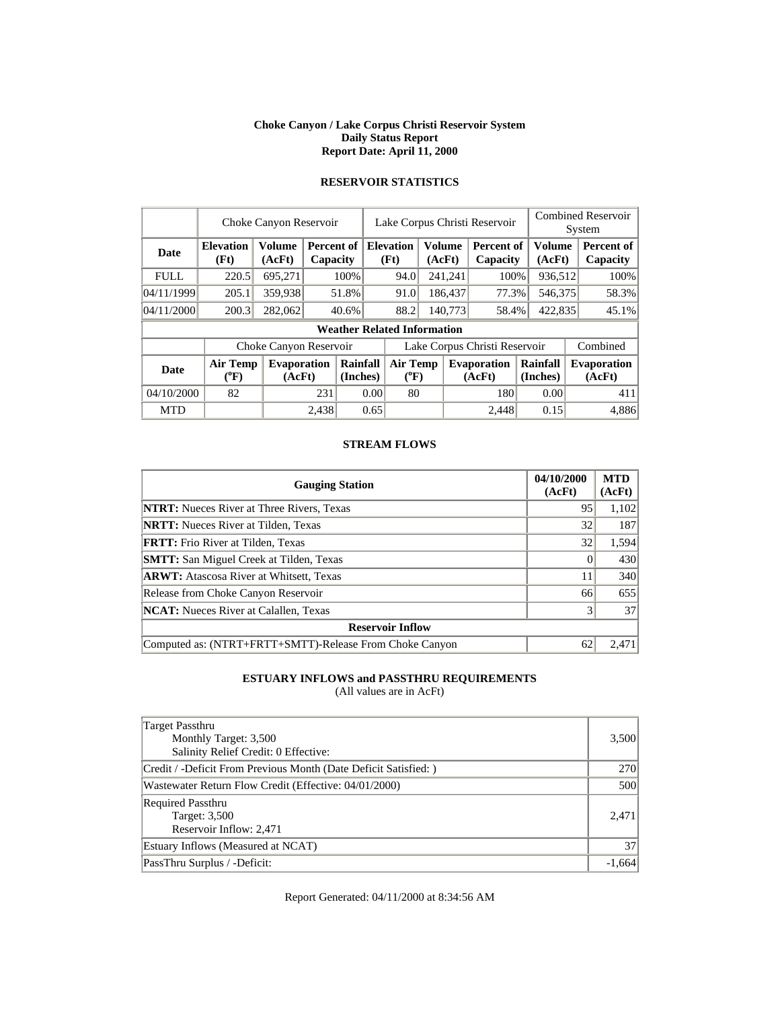#### **Choke Canyon / Lake Corpus Christi Reservoir System Daily Status Report Report Date: April 11, 2000**

|             | Choke Canyon Reservoir   | Lake Corpus Christi Reservoir |       |                        |                               |                                    |         | <b>Combined Reservoir</b><br>System |                        |                      |                         |          |                               |
|-------------|--------------------------|-------------------------------|-------|------------------------|-------------------------------|------------------------------------|---------|-------------------------------------|------------------------|----------------------|-------------------------|----------|-------------------------------|
| <b>Date</b> | <b>Elevation</b><br>(Ft) | <b>Volume</b><br>(AcFt)       |       | Percent of<br>Capacity |                               | <b>Elevation</b><br>(Ft)           |         | <b>Volume</b><br>(AcFt)             | Percent of<br>Capacity |                      | <b>Volume</b><br>(AcFt) |          | <b>Percent of</b><br>Capacity |
| <b>FULL</b> | 220.5                    | 695,271                       |       | 100%                   |                               | 94.0                               |         | 241,241                             | 100%                   |                      | 936,512                 |          | 100%                          |
| 04/11/1999  | 205.1                    | 359,938                       |       | 51.8%                  |                               | 91.0                               |         | 186,437                             | 77.3%                  |                      | 546,375                 |          | 58.3%                         |
| 04/11/2000  | 200.3                    | 282,062                       |       | 40.6%                  |                               | 88.2                               | 140,773 |                                     | 58.4%                  |                      | 422,835                 |          | 45.1%                         |
|             |                          |                               |       |                        |                               | <b>Weather Related Information</b> |         |                                     |                        |                      |                         |          |                               |
|             |                          | Choke Canyon Reservoir        |       |                        | Lake Corpus Christi Reservoir |                                    |         |                                     |                        |                      |                         | Combined |                               |
| <b>Date</b> | <b>Air Temp</b><br>(°F)  | <b>Evaporation</b><br>(AcFt)  |       | Rainfall<br>(Inches)   |                               | <b>Air Temp</b><br>$(^{0}F)$       |         | <b>Evaporation</b><br>(AcFt)        |                        | Rainfall<br>(Inches) |                         |          | <b>Evaporation</b><br>(AcFt)  |
| 04/10/2000  | 82                       |                               | 231   | 0.00                   |                               | 80                                 |         |                                     | 180                    |                      | 0.00                    |          | 411                           |
| <b>MTD</b>  |                          |                               | 2.438 |                        | 0.65                          |                                    |         |                                     | 2.448                  |                      | 0.15                    |          | 4.886                         |

# **RESERVOIR STATISTICS**

#### **STREAM FLOWS**

| <b>Gauging Station</b>                                  | 04/10/2000<br>(AcFt) | <b>MTD</b><br>(AcFt) |
|---------------------------------------------------------|----------------------|----------------------|
| <b>NTRT:</b> Nueces River at Three Rivers, Texas        | 95                   | 1,102                |
| <b>NRTT:</b> Nueces River at Tilden, Texas              | 32                   | 187                  |
| <b>FRTT:</b> Frio River at Tilden, Texas                | 32                   | 1,594                |
| <b>SMTT:</b> San Miguel Creek at Tilden, Texas          |                      | 430                  |
| <b>ARWT:</b> Atascosa River at Whitsett, Texas          | 11                   | 340                  |
| Release from Choke Canyon Reservoir                     | 66                   | 655                  |
| <b>NCAT:</b> Nueces River at Calallen, Texas            |                      | 37                   |
| <b>Reservoir Inflow</b>                                 |                      |                      |
| Computed as: (NTRT+FRTT+SMTT)-Release From Choke Canyon | 62                   | 2.471                |

# **ESTUARY INFLOWS and PASSTHRU REQUIREMENTS**

(All values are in AcFt)

| <b>Target Passthru</b><br>Monthly Target: 3,500<br>Salinity Relief Credit: 0 Effective: | 3,500    |
|-----------------------------------------------------------------------------------------|----------|
| Credit / -Deficit From Previous Month (Date Deficit Satisfied:)                         | 270      |
| Wastewater Return Flow Credit (Effective: 04/01/2000)                                   | 500      |
| <b>Required Passthru</b><br>Target: 3,500<br>Reservoir Inflow: 2,471                    | 2.471    |
| Estuary Inflows (Measured at NCAT)                                                      | 37       |
| PassThru Surplus / -Deficit:                                                            | $-1,664$ |

Report Generated: 04/11/2000 at 8:34:56 AM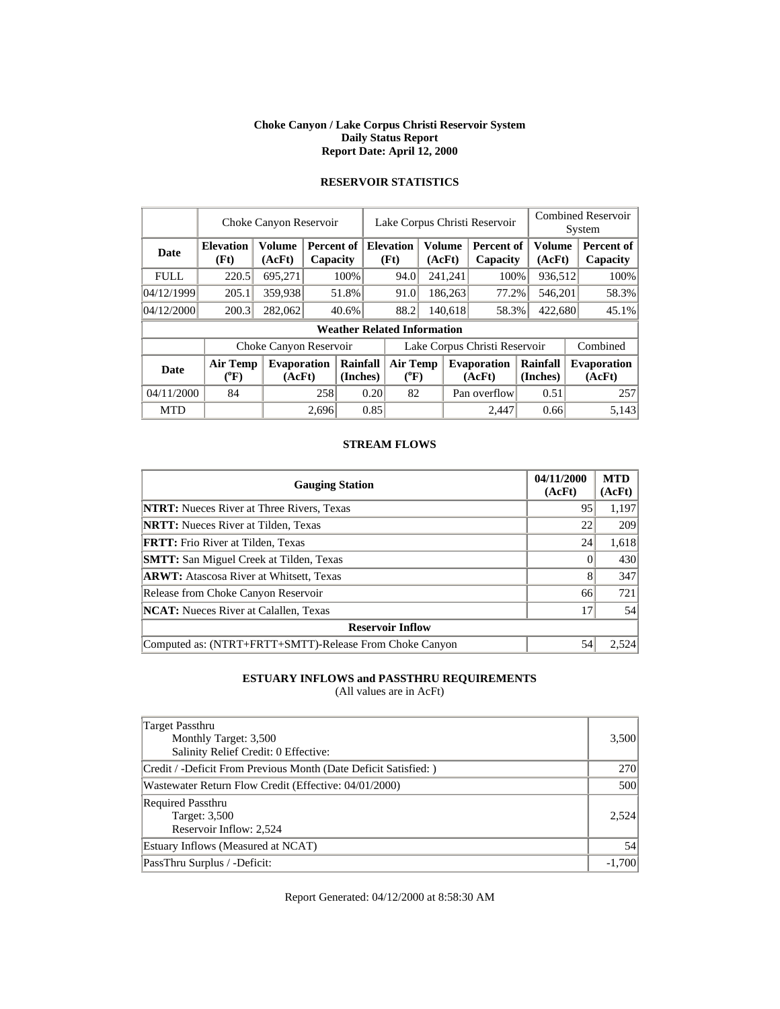#### **Choke Canyon / Lake Corpus Christi Reservoir System Daily Status Report Report Date: April 12, 2000**

|             | Choke Canyon Reservoir       | Lake Corpus Christi Reservoir |                        |                      |                               |                                    |  | <b>Combined Reservoir</b><br>System |                               |                      |                  |  |                              |
|-------------|------------------------------|-------------------------------|------------------------|----------------------|-------------------------------|------------------------------------|--|-------------------------------------|-------------------------------|----------------------|------------------|--|------------------------------|
| Date        | <b>Elevation</b><br>(Ft)     | <b>Volume</b><br>(AcFt)       | Percent of<br>Capacity |                      | <b>Elevation</b><br>(Ft)      |                                    |  | <b>Volume</b><br>(AcFt)             | <b>Percent of</b><br>Capacity |                      | Volume<br>(AcFt) |  | Percent of<br>Capacity       |
| <b>FULL</b> | 220.5                        | 695,271                       |                        | 100%                 |                               | 94.0                               |  | 241,241                             | 100%                          |                      | 936,512          |  | 100%                         |
| 04/12/1999  | 205.1                        | 359,938                       |                        | 51.8%                |                               | 91.0                               |  | 186,263                             | 77.2%                         |                      | 546,201          |  | 58.3%                        |
| 04/12/2000  | 200.3                        | 282,062                       |                        | 40.6%                |                               | 88.2<br>140,618                    |  |                                     | 58.3%                         | 422,680              |                  |  | 45.1%                        |
|             |                              |                               |                        |                      |                               | <b>Weather Related Information</b> |  |                                     |                               |                      |                  |  |                              |
|             |                              | Choke Canyon Reservoir        |                        |                      | Lake Corpus Christi Reservoir |                                    |  |                                     |                               |                      |                  |  | Combined                     |
| <b>Date</b> | <b>Air Temp</b><br>$(^{0}F)$ | <b>Evaporation</b><br>(AcFt)  |                        | Rainfall<br>(Inches) |                               | <b>Air Temp</b><br>$(^{0}F)$       |  |                                     | <b>Evaporation</b><br>(AcFt)  | Rainfall<br>(Inches) |                  |  | <b>Evaporation</b><br>(AcFt) |
| 04/11/2000  | 84                           |                               | 258                    |                      | 0.20                          | 82                                 |  |                                     | Pan overflow                  |                      | 0.51             |  | 257                          |
| <b>MTD</b>  |                              |                               | 2,696                  |                      | 0.85                          |                                    |  |                                     | 2.447                         |                      | 0.66             |  | 5,143                        |

# **RESERVOIR STATISTICS**

#### **STREAM FLOWS**

| <b>Gauging Station</b>                                  | 04/11/2000<br>(AcFt) | <b>MTD</b><br>(AcFt) |
|---------------------------------------------------------|----------------------|----------------------|
| <b>NTRT:</b> Nueces River at Three Rivers, Texas        | 95                   | 1,197                |
| <b>NRTT:</b> Nueces River at Tilden, Texas              | 22                   | 209                  |
| <b>FRTT:</b> Frio River at Tilden, Texas                | 24                   | 1,618                |
| <b>SMTT:</b> San Miguel Creek at Tilden, Texas          |                      | 430                  |
| <b>ARWT:</b> Atascosa River at Whitsett, Texas          | 8                    | 347                  |
| Release from Choke Canyon Reservoir                     | 66                   | 721                  |
| <b>NCAT:</b> Nueces River at Calallen, Texas            | 17                   | 54                   |
| <b>Reservoir Inflow</b>                                 |                      |                      |
| Computed as: (NTRT+FRTT+SMTT)-Release From Choke Canyon | 54                   |                      |

# **ESTUARY INFLOWS and PASSTHRU REQUIREMENTS**

(All values are in AcFt)

| <b>Target Passthru</b><br>Monthly Target: 3,500<br>Salinity Relief Credit: 0 Effective: | 3,500      |
|-----------------------------------------------------------------------------------------|------------|
| Credit / -Deficit From Previous Month (Date Deficit Satisfied:)                         | <b>270</b> |
| Wastewater Return Flow Credit (Effective: 04/01/2000)                                   | 500        |
| <b>Required Passthru</b><br>Target: 3,500<br>Reservoir Inflow: 2,524                    | 2.524      |
| Estuary Inflows (Measured at NCAT)                                                      | 54         |
| PassThru Surplus / -Deficit:                                                            | $-1,700$   |

Report Generated: 04/12/2000 at 8:58:30 AM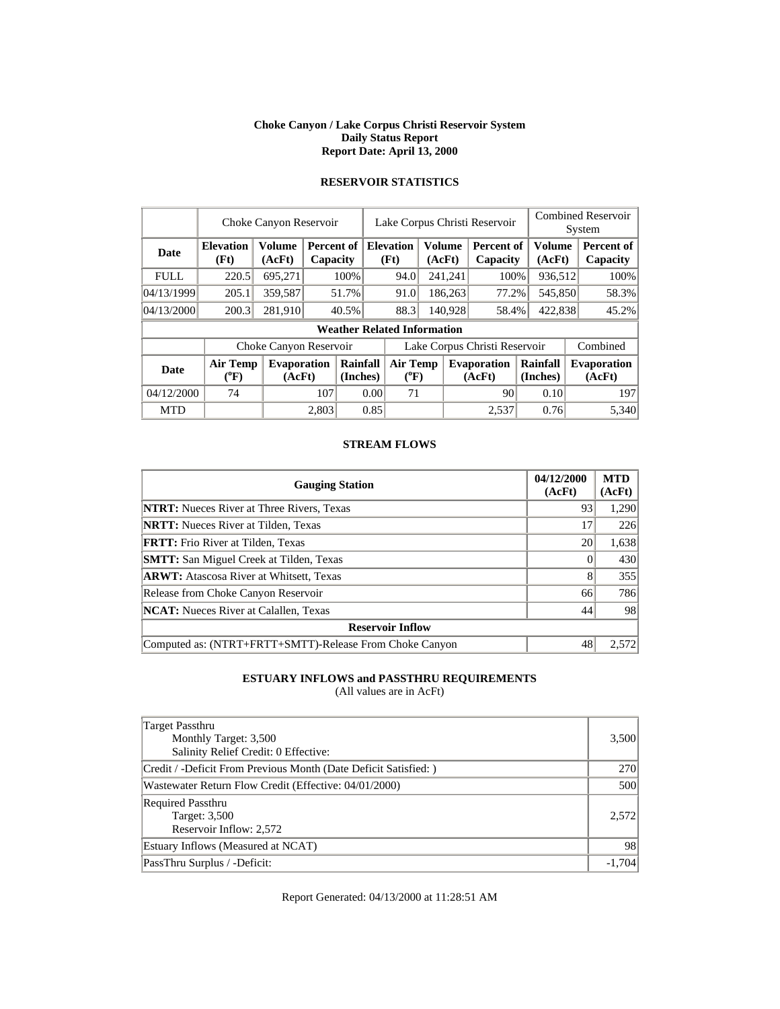#### **Choke Canyon / Lake Corpus Christi Reservoir System Daily Status Report Report Date: April 13, 2000**

|             | Choke Canyon Reservoir   | Lake Corpus Christi Reservoir |                        |                      |                               |                                                     |  |         |                              | <b>Combined Reservoir</b><br>System |                  |  |                              |
|-------------|--------------------------|-------------------------------|------------------------|----------------------|-------------------------------|-----------------------------------------------------|--|---------|------------------------------|-------------------------------------|------------------|--|------------------------------|
| Date        | <b>Elevation</b><br>(Ft) | <b>Volume</b><br>(AcFt)       | Percent of<br>Capacity |                      |                               | <b>Volume</b><br><b>Elevation</b><br>(Ft)<br>(AcFt) |  |         | Percent of<br>Capacity       |                                     | Volume<br>(AcFt) |  | Percent of<br>Capacity       |
| <b>FULL</b> | 220.5                    | 695,271                       |                        | 100%                 |                               | 94.0                                                |  | 241,241 | 100%                         |                                     | 936,512          |  | 100%                         |
| 04/13/1999  | 205.1                    | 359,587                       |                        | 51.7%                |                               | 91.0                                                |  | 186,263 | 77.2%                        |                                     | 545,850          |  | 58.3%                        |
| 04/13/2000  | 200.3                    | 281,910                       |                        | 40.5%                |                               | 88.3<br>140.928                                     |  |         | 58.4%                        | 422,838                             |                  |  | 45.2%                        |
|             |                          |                               |                        |                      |                               | <b>Weather Related Information</b>                  |  |         |                              |                                     |                  |  |                              |
|             |                          | Choke Canyon Reservoir        |                        |                      | Lake Corpus Christi Reservoir |                                                     |  |         |                              |                                     |                  |  | Combined                     |
| Date        | Air Temp<br>$(^{0}F)$    | <b>Evaporation</b><br>(AcFt)  |                        | Rainfall<br>(Inches) |                               | <b>Air Temp</b><br>$({}^0\mathrm{F})$               |  |         | <b>Evaporation</b><br>(AcFt) | Rainfall<br>(Inches)                |                  |  | <b>Evaporation</b><br>(AcFt) |
| 04/12/2000  | 74                       |                               | 107                    |                      | 0.00                          | 71                                                  |  |         | 90                           |                                     | 0.10             |  | 197                          |
| <b>MTD</b>  |                          |                               | 2,803                  |                      | 0.85                          |                                                     |  |         | 2.537                        |                                     | 0.76             |  | 5.340                        |

# **RESERVOIR STATISTICS**

#### **STREAM FLOWS**

| <b>Gauging Station</b>                                  | 04/12/2000<br>(AcFt) | <b>MTD</b><br>(AcFt) |
|---------------------------------------------------------|----------------------|----------------------|
| <b>NTRT:</b> Nueces River at Three Rivers, Texas        | 93                   | 1,290                |
| <b>NRTT:</b> Nueces River at Tilden, Texas              | 17                   | 226                  |
| <b>FRTT:</b> Frio River at Tilden, Texas                | 20                   | 1,638                |
| <b>SMTT:</b> San Miguel Creek at Tilden, Texas          |                      | 430                  |
| <b>ARWT:</b> Atascosa River at Whitsett, Texas          | 8                    | 355                  |
| Release from Choke Canyon Reservoir                     | 66                   | 786                  |
| <b>NCAT:</b> Nueces River at Calallen, Texas            | 44                   | 98                   |
| <b>Reservoir Inflow</b>                                 |                      |                      |
| Computed as: (NTRT+FRTT+SMTT)-Release From Choke Canyon | 48                   | 2.572                |

# **ESTUARY INFLOWS and PASSTHRU REQUIREMENTS**

(All values are in AcFt)

| <b>Target Passthru</b><br>Monthly Target: 3,500<br>Salinity Relief Credit: 0 Effective: | 3,500      |
|-----------------------------------------------------------------------------------------|------------|
| Credit / -Deficit From Previous Month (Date Deficit Satisfied:)                         | <b>270</b> |
| Wastewater Return Flow Credit (Effective: 04/01/2000)                                   | 500        |
| <b>Required Passthru</b><br>Target: 3,500<br>Reservoir Inflow: 2,572                    | 2.572      |
| Estuary Inflows (Measured at NCAT)                                                      | 98         |
| PassThru Surplus / -Deficit:                                                            | $-1.704$   |

Report Generated: 04/13/2000 at 11:28:51 AM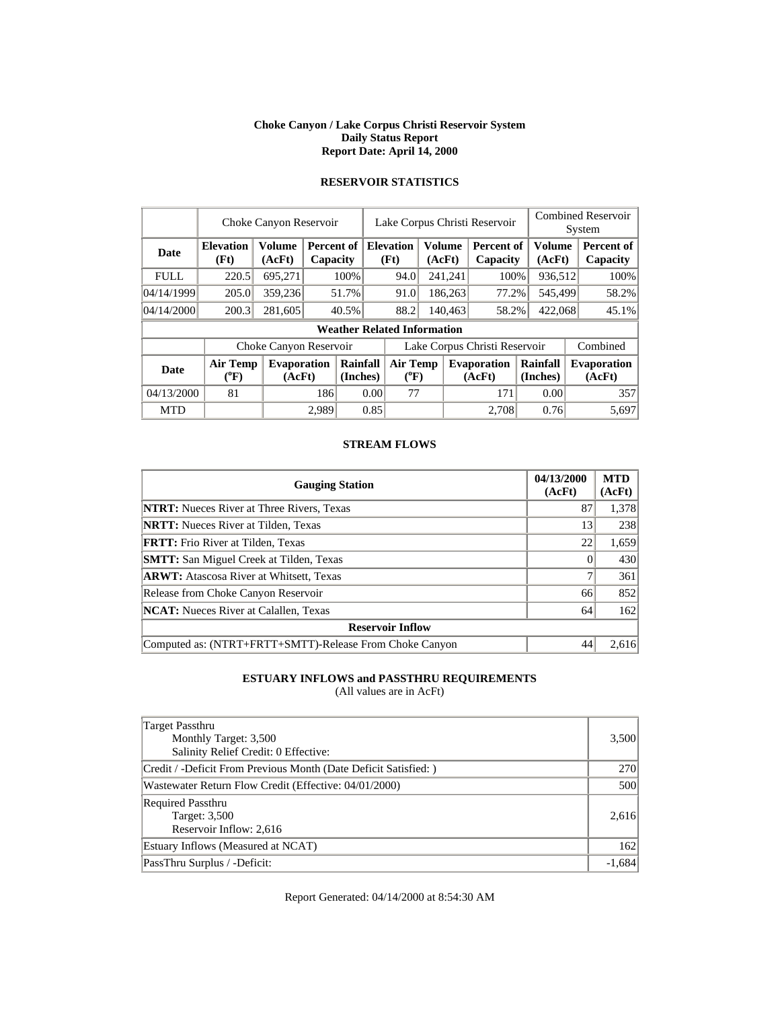#### **Choke Canyon / Lake Corpus Christi Reservoir System Daily Status Report Report Date: April 14, 2000**

|             | Choke Canyon Reservoir     |                              | Lake Corpus Christi Reservoir |                      |                                    |  | <b>Combined Reservoir</b><br>System |                               |                      |  |                              |
|-------------|----------------------------|------------------------------|-------------------------------|----------------------|------------------------------------|--|-------------------------------------|-------------------------------|----------------------|--|------------------------------|
| Date        | <b>Elevation</b><br>(Ft)   | <b>Volume</b><br>(AcFt)      | Percent of<br>Capacity        |                      | <b>Elevation</b><br>(Ft)           |  | Volume<br>(AcFt)                    | <b>Percent of</b><br>Capacity | Volume<br>(AcFt)     |  | Percent of<br>Capacity       |
| <b>FULL</b> | 220.5                      | 695,271                      |                               | 100%                 | 94.0                               |  | 241,241                             | 100%                          | 936,512              |  | 100%                         |
| 04/14/1999  | 205.0                      | 359,236                      |                               | 51.7%                | 91.0                               |  | 186,263                             | 77.2%                         | 545,499              |  | 58.2%                        |
| 04/14/2000  | 200.3                      | 281,605                      |                               | 40.5%                | 88.2                               |  | 140,463                             | 58.2%                         | 422,068              |  | 45.1%                        |
|             |                            |                              |                               |                      | <b>Weather Related Information</b> |  |                                     |                               |                      |  |                              |
|             |                            | Choke Canyon Reservoir       |                               |                      | Lake Corpus Christi Reservoir      |  |                                     |                               |                      |  | Combined                     |
| <b>Date</b> | <b>Air Temp</b><br>$(^oF)$ | <b>Evaporation</b><br>(AcFt) |                               | Rainfall<br>(Inches) | Air Temp<br>$(^{0}F)$              |  | <b>Evaporation</b><br>(AcFt)        |                               | Rainfall<br>(Inches) |  | <b>Evaporation</b><br>(AcFt) |
| 04/13/2000  | 81                         |                              | 186                           |                      | 77<br>0.00                         |  |                                     | 171                           | 0.00                 |  | 357                          |
| <b>MTD</b>  |                            |                              | 2.989                         |                      | 0.85                               |  |                                     | 2,708                         | 0.76                 |  | 5,697                        |

# **RESERVOIR STATISTICS**

#### **STREAM FLOWS**

| <b>Gauging Station</b>                                  | 04/13/2000<br>(AcFt) | <b>MTD</b><br>(AcFt) |
|---------------------------------------------------------|----------------------|----------------------|
| <b>NTRT:</b> Nueces River at Three Rivers, Texas        | 87                   | 1,378                |
| <b>NRTT:</b> Nueces River at Tilden, Texas              | 13                   | 238                  |
| <b>FRTT:</b> Frio River at Tilden, Texas                | 22                   | 1,659                |
| <b>SMTT:</b> San Miguel Creek at Tilden, Texas          |                      | 430                  |
| <b>ARWT:</b> Atascosa River at Whitsett, Texas          |                      | 361                  |
| Release from Choke Canyon Reservoir                     | 66                   | 852                  |
| <b>NCAT:</b> Nueces River at Calallen, Texas            | 64                   | 162                  |
| <b>Reservoir Inflow</b>                                 |                      |                      |
| Computed as: (NTRT+FRTT+SMTT)-Release From Choke Canyon | 44                   | 2.616                |

# **ESTUARY INFLOWS and PASSTHRU REQUIREMENTS**

(All values are in AcFt)

| Target Passthru<br>Monthly Target: 3,500<br>Salinity Relief Credit: 0 Effective: | 3,500      |
|----------------------------------------------------------------------------------|------------|
| Credit / -Deficit From Previous Month (Date Deficit Satisfied:)                  | <b>270</b> |
| Wastewater Return Flow Credit (Effective: 04/01/2000)                            | 500        |
| <b>Required Passthru</b><br>Target: 3,500<br>Reservoir Inflow: 2,616             | 2,616      |
| Estuary Inflows (Measured at NCAT)                                               | 162        |
| PassThru Surplus / -Deficit:                                                     | $-1,684$   |

Report Generated: 04/14/2000 at 8:54:30 AM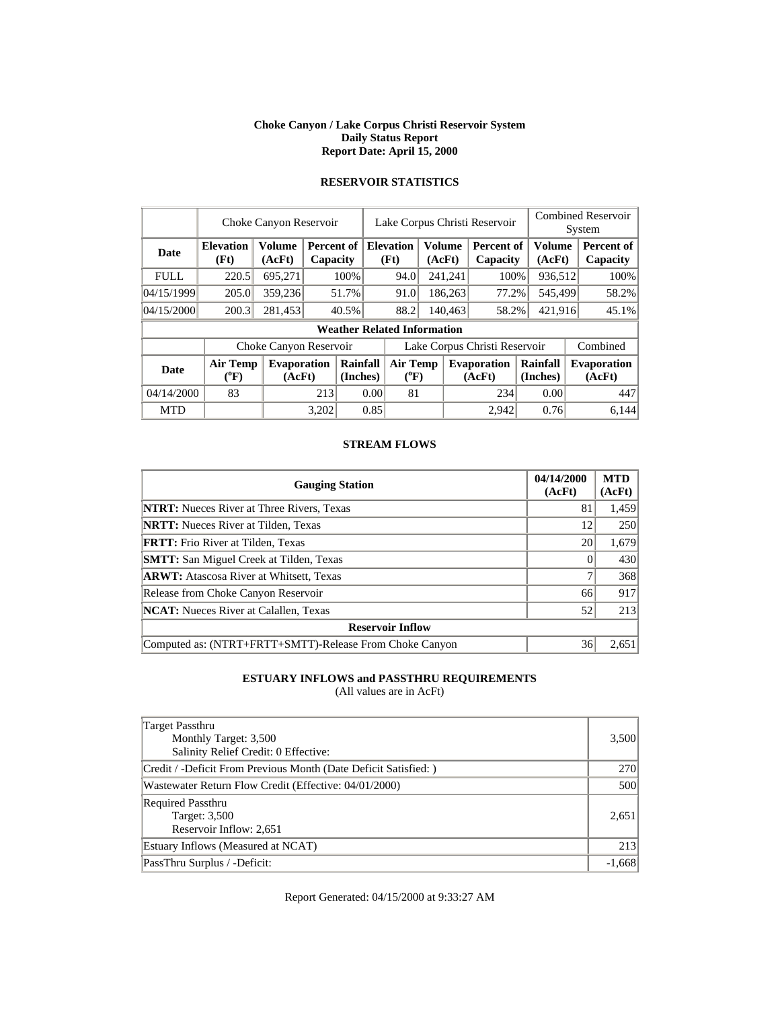#### **Choke Canyon / Lake Corpus Christi Reservoir System Daily Status Report Report Date: April 15, 2000**

|             | Choke Canyon Reservoir       | Lake Corpus Christi Reservoir |       |                        |                               |                                                     |                              | <b>Combined Reservoir</b><br>System |                               |         |                      |  |                              |
|-------------|------------------------------|-------------------------------|-------|------------------------|-------------------------------|-----------------------------------------------------|------------------------------|-------------------------------------|-------------------------------|---------|----------------------|--|------------------------------|
| Date        | <b>Elevation</b><br>(Ft)     | <b>Volume</b><br>(AcFt)       |       | Percent of<br>Capacity |                               | <b>Volume</b><br><b>Elevation</b><br>(Ft)<br>(AcFt) |                              |                                     | <b>Percent of</b><br>Capacity |         | Volume<br>(AcFt)     |  | Percent of<br>Capacity       |
| <b>FULL</b> | 220.5                        | 695,271                       |       | 100%                   |                               | 94.0                                                |                              | 241,241                             | 100%                          |         | 936,512              |  | 100%                         |
| 04/15/1999  | 205.0                        | 359,236                       |       | 51.7%                  |                               | 91.0                                                |                              | 186,263                             | 77.2%                         |         | 545,499              |  | 58.2%                        |
| 04/15/2000  | 200.3                        | 281,453                       |       | 40.5%                  |                               | 88.2                                                |                              | 140,463<br>58.2%                    |                               | 421,916 |                      |  | 45.1%                        |
|             |                              |                               |       |                        |                               | <b>Weather Related Information</b>                  |                              |                                     |                               |         |                      |  |                              |
|             |                              | Choke Canyon Reservoir        |       |                        | Lake Corpus Christi Reservoir |                                                     |                              |                                     |                               |         |                      |  | Combined                     |
| <b>Date</b> | <b>Air Temp</b><br>$(^{0}F)$ | <b>Evaporation</b><br>(AcFt)  |       | Rainfall<br>(Inches)   |                               |                                                     | <b>Air Temp</b><br>$(^{0}F)$ |                                     | <b>Evaporation</b><br>(AcFt)  |         | Rainfall<br>(Inches) |  | <b>Evaporation</b><br>(AcFt) |
| 04/14/2000  | 83                           |                               |       | 0.00<br>213            |                               | 81                                                  |                              |                                     | 234                           |         | 0.00                 |  | 447                          |
| <b>MTD</b>  |                              |                               | 3,202 |                        | 0.85                          |                                                     |                              |                                     | 2.942                         |         | 0.76                 |  | 6,144                        |

# **RESERVOIR STATISTICS**

#### **STREAM FLOWS**

| <b>Gauging Station</b>                                  | 04/14/2000<br>(AcFt) | <b>MTD</b><br>(AcFt) |
|---------------------------------------------------------|----------------------|----------------------|
| <b>NTRT:</b> Nueces River at Three Rivers, Texas        | 81                   | 1,459                |
| <b>NRTT:</b> Nueces River at Tilden, Texas              | 12                   | 250                  |
| <b>FRTT:</b> Frio River at Tilden, Texas                | 20                   | 1,679                |
| <b>SMTT:</b> San Miguel Creek at Tilden, Texas          |                      | 430                  |
| <b>ARWT:</b> Atascosa River at Whitsett, Texas          |                      | 368                  |
| Release from Choke Canyon Reservoir                     | 66                   | 917                  |
| <b>NCAT:</b> Nueces River at Calallen, Texas            | 52                   | 213                  |
| <b>Reservoir Inflow</b>                                 |                      |                      |
| Computed as: (NTRT+FRTT+SMTT)-Release From Choke Canyon | 36                   | 2.651                |

# **ESTUARY INFLOWS and PASSTHRU REQUIREMENTS**

(All values are in AcFt)

| Target Passthru<br>Monthly Target: 3,500<br>Salinity Relief Credit: 0 Effective: | 3,500      |
|----------------------------------------------------------------------------------|------------|
| Credit / -Deficit From Previous Month (Date Deficit Satisfied:)                  | <b>270</b> |
| Wastewater Return Flow Credit (Effective: 04/01/2000)                            | 500        |
| <b>Required Passthru</b><br>Target: 3,500<br>Reservoir Inflow: 2,651             | 2,651      |
| Estuary Inflows (Measured at NCAT)                                               | 213        |
| PassThru Surplus / -Deficit:                                                     | $-1,668$   |

Report Generated: 04/15/2000 at 9:33:27 AM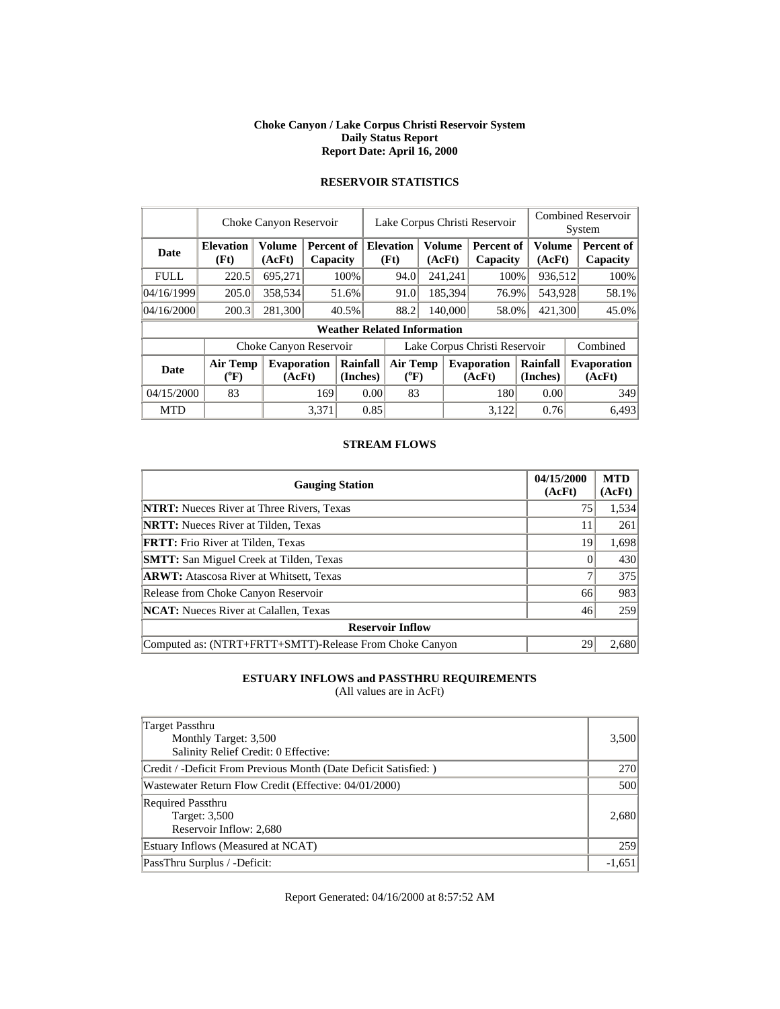#### **Choke Canyon / Lake Corpus Christi Reservoir System Daily Status Report Report Date: April 16, 2000**

|             | Choke Canyon Reservoir             |                              |       |                                           |                               | Lake Corpus Christi Reservoir |         |         |                              |                         |         | <b>Combined Reservoir</b><br>System |  |  |
|-------------|------------------------------------|------------------------------|-------|-------------------------------------------|-------------------------------|-------------------------------|---------|---------|------------------------------|-------------------------|---------|-------------------------------------|--|--|
| <b>Date</b> | <b>Elevation</b><br>(Ft)           | <b>Volume</b><br>(AcFt)      |       | <b>Percent of   Elevation</b><br>Capacity |                               | Volume<br>(Ft)<br>(AcFt)      |         |         | Percent of<br>Capacity       | <b>Volume</b><br>(AcFt) |         | Percent of<br>Capacity              |  |  |
| <b>FULL</b> | 220.5                              | 695,271                      |       | 100%                                      |                               | 94.0                          |         | 241,241 | 100%                         |                         | 936,512 | 100%                                |  |  |
| 04/16/1999  | 205.0                              | 358,534                      |       | 51.6%                                     |                               | 91.0                          | 185,394 |         | 76.9%                        |                         | 543,928 | 58.1%                               |  |  |
| 04/16/2000  | 200.3                              | 281,300                      |       | 40.5%                                     |                               | 88.2                          | 140,000 |         | 58.0%                        | 421,300                 |         | 45.0%                               |  |  |
|             | <b>Weather Related Information</b> |                              |       |                                           |                               |                               |         |         |                              |                         |         |                                     |  |  |
|             |                                    | Choke Canyon Reservoir       |       |                                           | Lake Corpus Christi Reservoir |                               |         |         |                              |                         |         | Combined                            |  |  |
| <b>Date</b> | <b>Air Temp</b><br>$\rm ^{(9}F)$   | <b>Evaporation</b><br>(AcFt) |       | Rainfall<br>(Inches)                      |                               | <b>Air Temp</b><br>$(^{0}F)$  |         |         | <b>Evaporation</b><br>(AcFt) | Rainfall<br>(Inches)    |         | <b>Evaporation</b><br>(AcFt)        |  |  |
| 04/15/2000  | 83                                 |                              | 169   | 0.00                                      |                               | 83                            |         |         | 180                          | 0.00                    |         | 349                                 |  |  |
| <b>MTD</b>  |                                    |                              | 3.371 |                                           | 0.85                          |                               |         |         | 3.122                        | 0.76                    |         | 6.493                               |  |  |

# **RESERVOIR STATISTICS**

#### **STREAM FLOWS**

| <b>Gauging Station</b>                                  | 04/15/2000<br>(AcFt) | <b>MTD</b><br>(AcFt) |
|---------------------------------------------------------|----------------------|----------------------|
| <b>NTRT:</b> Nueces River at Three Rivers, Texas        | 75                   | 1,534                |
| <b>NRTT:</b> Nueces River at Tilden, Texas              | 11                   | 261                  |
| <b>FRTT:</b> Frio River at Tilden, Texas                | 19                   | 1,698                |
| <b>SMTT:</b> San Miguel Creek at Tilden, Texas          |                      | 430                  |
| <b>ARWT:</b> Atascosa River at Whitsett, Texas          |                      | 375                  |
| Release from Choke Canyon Reservoir                     | 66                   | 983                  |
| <b>NCAT:</b> Nueces River at Calallen, Texas            | 46                   | 259                  |
| <b>Reservoir Inflow</b>                                 |                      |                      |
| Computed as: (NTRT+FRTT+SMTT)-Release From Choke Canyon | 29                   | 2.680                |

# **ESTUARY INFLOWS and PASSTHRU REQUIREMENTS**

(All values are in AcFt)

| Target Passthru<br>Monthly Target: 3,500<br>Salinity Relief Credit: 0 Effective: | 3,500      |
|----------------------------------------------------------------------------------|------------|
| Credit / -Deficit From Previous Month (Date Deficit Satisfied:)                  | <b>270</b> |
| Wastewater Return Flow Credit (Effective: 04/01/2000)                            | 500        |
| <b>Required Passthru</b><br>Target: 3,500<br>Reservoir Inflow: 2,680             | 2,680      |
| Estuary Inflows (Measured at NCAT)                                               | 259        |
| PassThru Surplus / -Deficit:                                                     | $-1,651$   |

Report Generated: 04/16/2000 at 8:57:52 AM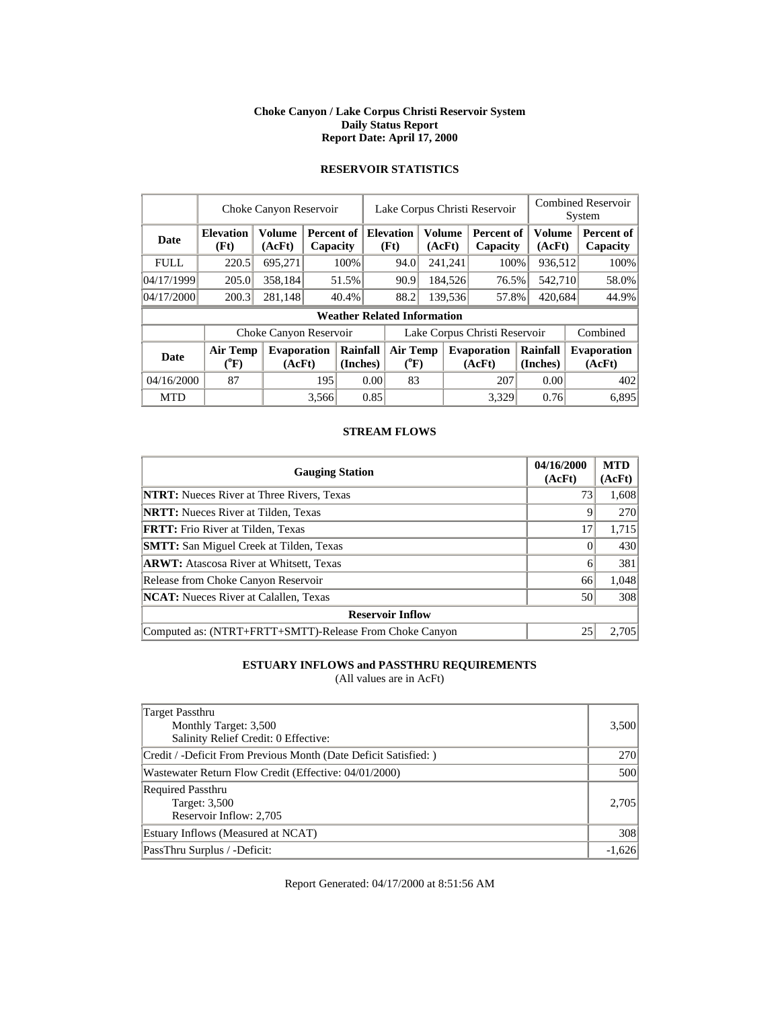#### **Choke Canyon / Lake Corpus Christi Reservoir System Daily Status Report Report Date: April 17, 2000**

| Choke Canyon Reservoir             |                  |          |                                                    | Lake Corpus Christi Reservoir                                                              |                                      |                          |                                    |                                    |                                                    | Combined Reservoir<br>System                                                  |                                                                                           |  |  |
|------------------------------------|------------------|----------|----------------------------------------------------|--------------------------------------------------------------------------------------------|--------------------------------------|--------------------------|------------------------------------|------------------------------------|----------------------------------------------------|-------------------------------------------------------------------------------|-------------------------------------------------------------------------------------------|--|--|
| <b>Elevation</b><br>(Ft)           | Volume<br>(AcFt) |          |                                                    | (Ft)                                                                                       |                                      |                          |                                    | Capacity                           |                                                    |                                                                               | Percent of<br>Capacity                                                                    |  |  |
| 220.5                              | 695,271          |          |                                                    |                                                                                            | 94.0                                 |                          |                                    |                                    |                                                    |                                                                               | 100%                                                                                      |  |  |
| 205.0                              |                  |          |                                                    |                                                                                            | 90.9                                 |                          |                                    |                                    |                                                    |                                                                               | 58.0%                                                                                     |  |  |
| 04/17/2000<br>200.3                |                  |          |                                                    |                                                                                            |                                      |                          |                                    |                                    |                                                    |                                                                               | 44.9%                                                                                     |  |  |
| <b>Weather Related Information</b> |                  |          |                                                    |                                                                                            |                                      |                          |                                    |                                    |                                                    |                                                                               |                                                                                           |  |  |
|                                    |                  |          |                                                    |                                                                                            |                                      |                          |                                    |                                    |                                                    | Combined                                                                      |                                                                                           |  |  |
| $(^0F)$                            |                  |          |                                                    |                                                                                            |                                      |                          |                                    |                                    |                                                    |                                                                               | <b>Evaporation</b><br>(AcFt)                                                              |  |  |
| 04/16/2000<br>87                   |                  | 195      |                                                    |                                                                                            |                                      |                          |                                    | 207                                |                                                    |                                                                               | 402                                                                                       |  |  |
|                                    |                  |          |                                                    |                                                                                            |                                      |                          |                                    | 3,329                              |                                                    |                                                                               | 6.895                                                                                     |  |  |
|                                    |                  | Air Temp | 358,184<br>281,148<br><b>Evaporation</b><br>(AcFt) | <b>Percent of</b><br>Capacity<br>100%<br>51.5%<br>40.4%<br>Choke Canyon Reservoir<br>3,566 | Rainfall<br>(Inches)<br>0.00<br>0.85 | <b>Elevation</b><br>88.2 | <b>Air Temp</b><br>$(^{0}F)$<br>83 | <b>Volume</b><br>(AcFt)<br>241,241 | 184,526<br>139,536<br><b>Evaporation</b><br>(AcFt) | <b>Percent of</b><br>100\%<br>76.5%<br>57.8%<br>Lake Corpus Christi Reservoir | Volume<br>(AcFt)<br>936,512<br>542,710<br>420,684<br>Rainfall<br>(Inches)<br>0.00<br>0.76 |  |  |

# **RESERVOIR STATISTICS**

### **STREAM FLOWS**

| <b>Gauging Station</b>                                  | 04/16/2000<br>(AcFt) | <b>MTD</b><br>(AcFt) |
|---------------------------------------------------------|----------------------|----------------------|
| <b>NTRT:</b> Nueces River at Three Rivers, Texas        | 73                   | 1,608                |
| <b>NRTT:</b> Nueces River at Tilden, Texas              | Q                    | 270                  |
| <b>FRTT:</b> Frio River at Tilden, Texas                | 17                   | 1,715                |
| <b>SMTT:</b> San Miguel Creek at Tilden, Texas          |                      | 430                  |
| <b>ARWT:</b> Atascosa River at Whitsett, Texas          | 6                    | 381                  |
| Release from Choke Canyon Reservoir                     | 66                   | 1,048                |
| <b>NCAT:</b> Nueces River at Calallen, Texas            | 50                   | 308                  |
| <b>Reservoir Inflow</b>                                 |                      |                      |
| Computed as: (NTRT+FRTT+SMTT)-Release From Choke Canyon | 25                   | 2.705                |

# **ESTUARY INFLOWS and PASSTHRU REQUIREMENTS**

(All values are in AcFt)

| Target Passthru<br>Monthly Target: 3,500<br>Salinity Relief Credit: 0 Effective: | 3,500      |
|----------------------------------------------------------------------------------|------------|
| Credit / -Deficit From Previous Month (Date Deficit Satisfied: )                 | <b>270</b> |
| Wastewater Return Flow Credit (Effective: 04/01/2000)                            | 500        |
| <b>Required Passthru</b><br>Target: 3,500<br>Reservoir Inflow: 2,705             | 2,705      |
| Estuary Inflows (Measured at NCAT)                                               | 308        |
| PassThru Surplus / -Deficit:                                                     | $-1,626$   |

Report Generated: 04/17/2000 at 8:51:56 AM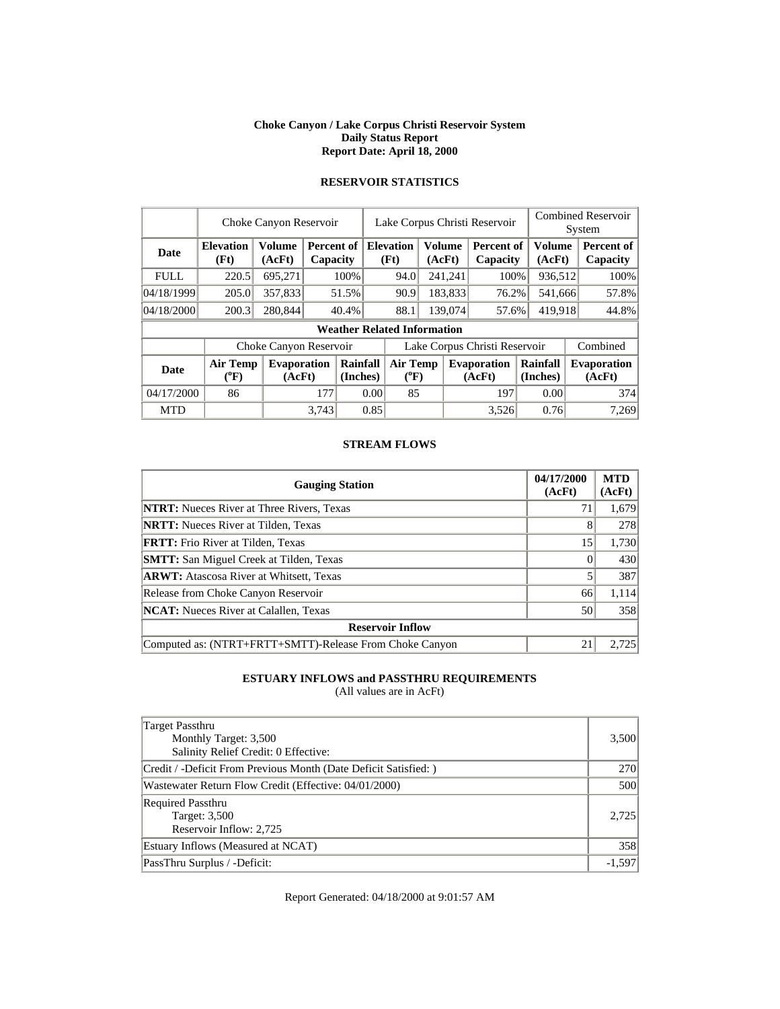#### **Choke Canyon / Lake Corpus Christi Reservoir System Daily Status Report Report Date: April 18, 2000**

|             | Choke Canyon Reservoir                |                              |                        |                                    |                               | Lake Corpus Christi Reservoir |                  |         |                              |                      |                  | <b>Combined Reservoir</b><br>System |  |  |
|-------------|---------------------------------------|------------------------------|------------------------|------------------------------------|-------------------------------|-------------------------------|------------------|---------|------------------------------|----------------------|------------------|-------------------------------------|--|--|
| Date        | <b>Elevation</b><br>(Ft)              | <b>Volume</b><br>(AcFt)      | Percent of<br>Capacity |                                    |                               | <b>Elevation</b><br>(Ft)      | Volume<br>(AcFt) |         | Percent of<br>Capacity       |                      | Volume<br>(AcFt) | Percent of<br>Capacity              |  |  |
| <b>FULL</b> | 220.5                                 | 695,271                      |                        | 100%                               |                               | 94.0                          |                  | 241,241 | 100%                         |                      | 936,512          | 100%                                |  |  |
| 04/18/1999  | 205.0                                 | 357,833                      |                        | 51.5%                              |                               | 90.9                          | 183,833          |         | 76.2%                        |                      | 541,666          | 57.8%                               |  |  |
| 04/18/2000  | 200.3                                 | 280,844                      |                        | 40.4%                              |                               | 88.1                          | 139,074          |         | 57.6%                        | 419,918              |                  | 44.8%                               |  |  |
|             |                                       |                              |                        | <b>Weather Related Information</b> |                               |                               |                  |         |                              |                      |                  |                                     |  |  |
|             |                                       | Choke Canyon Reservoir       |                        |                                    | Lake Corpus Christi Reservoir |                               |                  |         |                              |                      |                  | Combined                            |  |  |
| <b>Date</b> | <b>Air Temp</b><br>$({}^o\mathrm{F})$ | <b>Evaporation</b><br>(AcFt) |                        | Rainfall<br>(Inches)               |                               | Air Temp<br>$(^{0}F)$         |                  |         | <b>Evaporation</b><br>(AcFt) | Rainfall<br>(Inches) |                  | <b>Evaporation</b><br>(AcFt)        |  |  |
| 04/17/2000  | 86                                    |                              | 177                    | 0.00                               |                               |                               | 85               |         | 197                          |                      | 0.00             | 374                                 |  |  |
| <b>MTD</b>  |                                       |                              | 3.743                  |                                    | 0.85                          |                               |                  |         | 3.526                        |                      | 0.76             | 7,269                               |  |  |

# **RESERVOIR STATISTICS**

#### **STREAM FLOWS**

| <b>Gauging Station</b>                                  | 04/17/2000<br>(AcFt) | <b>MTD</b><br>(AcFt) |
|---------------------------------------------------------|----------------------|----------------------|
| <b>NTRT:</b> Nueces River at Three Rivers, Texas        | 71                   | 1,679                |
| <b>NRTT:</b> Nueces River at Tilden, Texas              | 8                    | 278                  |
| <b>FRTT:</b> Frio River at Tilden, Texas                | 15                   | 1,730                |
| <b>SMTT:</b> San Miguel Creek at Tilden, Texas          |                      | 430                  |
| <b>ARWT:</b> Atascosa River at Whitsett, Texas          |                      | 387                  |
| Release from Choke Canyon Reservoir                     | 66                   | 1,114                |
| <b>NCAT:</b> Nueces River at Calallen, Texas            | 50                   | 358                  |
| <b>Reservoir Inflow</b>                                 |                      |                      |
| Computed as: (NTRT+FRTT+SMTT)-Release From Choke Canyon | 21                   | 2.725                |

# **ESTUARY INFLOWS and PASSTHRU REQUIREMENTS**

(All values are in AcFt)

| Target Passthru<br>Monthly Target: 3,500<br>Salinity Relief Credit: 0 Effective: | 3,500      |
|----------------------------------------------------------------------------------|------------|
| Credit / -Deficit From Previous Month (Date Deficit Satisfied:)                  | <b>270</b> |
| Wastewater Return Flow Credit (Effective: 04/01/2000)                            | 500        |
| <b>Required Passthru</b><br>Target: 3,500<br>Reservoir Inflow: 2,725             | 2.725      |
| Estuary Inflows (Measured at NCAT)                                               | 358        |
| PassThru Surplus / -Deficit:                                                     | $-1,597$   |

Report Generated: 04/18/2000 at 9:01:57 AM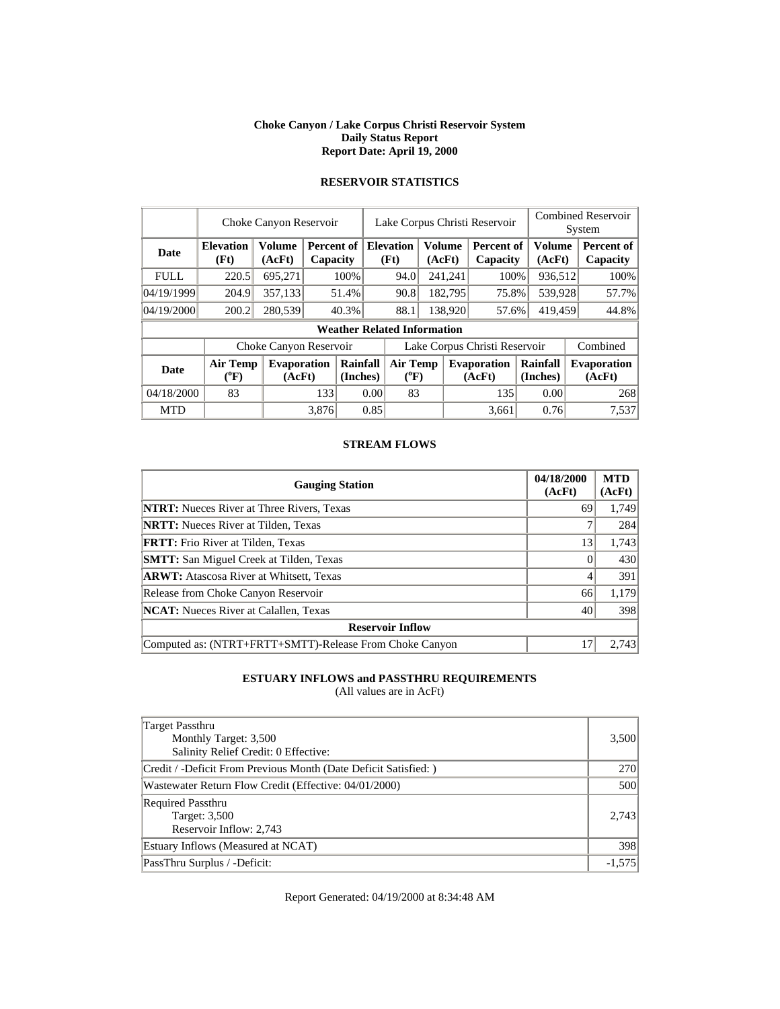#### **Choke Canyon / Lake Corpus Christi Reservoir System Daily Status Report Report Date: April 19, 2000**

|             | Choke Canyon Reservoir             |                              |       |                        |                               | Lake Corpus Christi Reservoir                |         |         |                              |                      |                  | <b>Combined Reservoir</b><br>System |                              |  |
|-------------|------------------------------------|------------------------------|-------|------------------------|-------------------------------|----------------------------------------------|---------|---------|------------------------------|----------------------|------------------|-------------------------------------|------------------------------|--|
| <b>Date</b> | <b>Elevation</b><br>(Ft)           | <b>Volume</b><br>(AcFt)      |       | Percent of<br>Capacity |                               | <b>Elevation</b><br>Volume<br>(Ft)<br>(AcFt) |         |         | Percent of<br>Capacity       |                      | Volume<br>(AcFt) |                                     | Percent of<br>Capacity       |  |
| <b>FULL</b> | 220.5                              | 695,271                      |       | 100%                   |                               | 94.0                                         |         | 241,241 | 100%                         |                      | 936,512          |                                     | 100%                         |  |
| 04/19/1999  | 204.9                              | 357,133                      |       | 51.4%                  |                               | 90.8                                         | 182,795 |         | 75.8%                        |                      | 539,928          |                                     | 57.7%                        |  |
| 04/19/2000  | 200.2                              | 280,539                      |       | 40.3%                  |                               | 88.1                                         | 138,920 |         | 57.6%                        | 419.459              |                  |                                     | 44.8%                        |  |
|             | <b>Weather Related Information</b> |                              |       |                        |                               |                                              |         |         |                              |                      |                  |                                     |                              |  |
|             |                                    | Choke Canyon Reservoir       |       |                        | Lake Corpus Christi Reservoir |                                              |         |         |                              |                      |                  |                                     | Combined                     |  |
| <b>Date</b> | <b>Air Temp</b><br>(°F)            | <b>Evaporation</b><br>(AcFt) |       | Rainfall<br>(Inches)   |                               | <b>Air Temp</b><br>$(^{0}F)$                 |         |         | <b>Evaporation</b><br>(AcFt) | Rainfall<br>(Inches) |                  |                                     | <b>Evaporation</b><br>(AcFt) |  |
| 04/18/2000  | 83                                 |                              | 133   | 0.00                   |                               | 83                                           |         |         | 135                          |                      | 0.00             |                                     | 268                          |  |
| <b>MTD</b>  |                                    |                              | 3.876 |                        | 0.85                          |                                              |         |         | 3.661                        |                      | 0.76             |                                     | 7,537                        |  |

# **RESERVOIR STATISTICS**

#### **STREAM FLOWS**

| <b>Gauging Station</b>                                  | 04/18/2000<br>(AcFt) | <b>MTD</b><br>(AcFt) |
|---------------------------------------------------------|----------------------|----------------------|
| <b>NTRT:</b> Nueces River at Three Rivers, Texas        | 69                   | 1,749                |
| <b>NRTT:</b> Nueces River at Tilden, Texas              |                      | 284                  |
| <b>FRTT:</b> Frio River at Tilden, Texas                | 13                   | 1,743                |
| <b>SMTT:</b> San Miguel Creek at Tilden, Texas          |                      | 430                  |
| <b>ARWT:</b> Atascosa River at Whitsett, Texas          |                      | 391                  |
| Release from Choke Canyon Reservoir                     | 66                   | 1,179                |
| <b>NCAT:</b> Nueces River at Calallen, Texas            | 40                   | 398                  |
| <b>Reservoir Inflow</b>                                 |                      |                      |
| Computed as: (NTRT+FRTT+SMTT)-Release From Choke Canyon | 17                   | 2.743                |

# **ESTUARY INFLOWS and PASSTHRU REQUIREMENTS**

(All values are in AcFt)

| Target Passthru<br>Monthly Target: 3,500<br>Salinity Relief Credit: 0 Effective: | 3,500    |
|----------------------------------------------------------------------------------|----------|
| Credit / -Deficit From Previous Month (Date Deficit Satisfied:)                  | 270      |
| Wastewater Return Flow Credit (Effective: 04/01/2000)                            | 500      |
| <b>Required Passthru</b><br>Target: 3,500<br>Reservoir Inflow: 2,743             | 2.743    |
| Estuary Inflows (Measured at NCAT)                                               | 398      |
| PassThru Surplus / -Deficit:                                                     | $-1,575$ |

Report Generated: 04/19/2000 at 8:34:48 AM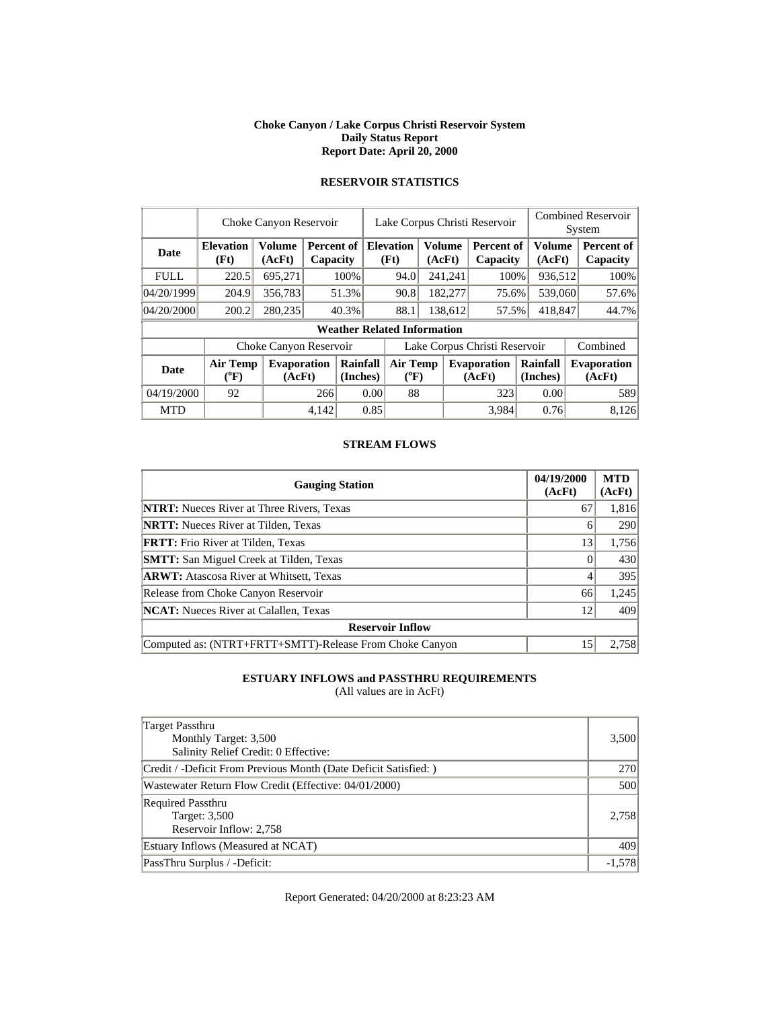#### **Choke Canyon / Lake Corpus Christi Reservoir System Daily Status Report Report Date: April 20, 2000**

|             | Choke Canyon Reservoir   |                              |                        |                                    |      | Lake Corpus Christi Reservoir                                                        |  |                         |                               |  |                  | <b>Combined Reservoir</b><br>System |  |  |
|-------------|--------------------------|------------------------------|------------------------|------------------------------------|------|--------------------------------------------------------------------------------------|--|-------------------------|-------------------------------|--|------------------|-------------------------------------|--|--|
| <b>Date</b> | <b>Elevation</b><br>(Ft) | <b>Volume</b><br>(AcFt)      | Percent of<br>Capacity |                                    |      | <b>Elevation</b><br>(Ft)                                                             |  | <b>Volume</b><br>(AcFt) | Percent of<br>Capacity        |  | Volume<br>(AcFt) | Percent of<br>Capacity              |  |  |
| <b>FULL</b> | 220.5                    | 695,271                      |                        | 100%                               |      | 94.0                                                                                 |  | 241,241                 | 100%                          |  | 936,512          | 100%                                |  |  |
| 04/20/1999  | 204.9                    | 356,783                      |                        | 51.3%                              |      | 90.8                                                                                 |  | 182,277                 | 75.6%                         |  | 539,060          | 57.6%                               |  |  |
| 04/20/2000  | 200.2                    | 280,235                      |                        | 40.3%                              |      | 88.1                                                                                 |  | 138,612                 | 57.5%                         |  | 418,847          | 44.7%                               |  |  |
|             |                          |                              |                        | <b>Weather Related Information</b> |      |                                                                                      |  |                         |                               |  |                  |                                     |  |  |
|             |                          | Choke Canyon Reservoir       |                        |                                    |      |                                                                                      |  |                         | Lake Corpus Christi Reservoir |  |                  | Combined                            |  |  |
| <b>Date</b> | Air Temp<br>$(^{0}F)$    | <b>Evaporation</b><br>(AcFt) |                        | Rainfall<br>(Inches)               |      | <b>Air Temp</b><br>Rainfall<br><b>Evaporation</b><br>$(^{0}F)$<br>(AcFt)<br>(Inches) |  |                         | <b>Evaporation</b><br>(AcFt)  |  |                  |                                     |  |  |
| 04/19/2000  | 92                       |                              | 266                    |                                    | 0.00 | 88                                                                                   |  |                         | 323                           |  | 0.00             | 589                                 |  |  |
| <b>MTD</b>  |                          |                              | 4,142                  |                                    | 0.85 |                                                                                      |  |                         | 3.984                         |  | 0.76             | 8.126                               |  |  |

# **RESERVOIR STATISTICS**

#### **STREAM FLOWS**

| <b>Gauging Station</b>                                  | 04/19/2000<br>(AcFt) | <b>MTD</b><br>(AcFt) |
|---------------------------------------------------------|----------------------|----------------------|
| <b>NTRT:</b> Nueces River at Three Rivers, Texas        | 67                   | 1,816                |
| <b>NRTT:</b> Nueces River at Tilden, Texas              | 6                    | 290                  |
| <b>FRTT:</b> Frio River at Tilden, Texas                | 13                   | 1,756                |
| <b>SMTT:</b> San Miguel Creek at Tilden, Texas          |                      | 430                  |
| <b>ARWT:</b> Atascosa River at Whitsett, Texas          |                      | 395                  |
| Release from Choke Canyon Reservoir                     | 66                   | 1,245                |
| <b>NCAT:</b> Nueces River at Calallen, Texas            | 12                   | 409                  |
| <b>Reservoir Inflow</b>                                 |                      |                      |
| Computed as: (NTRT+FRTT+SMTT)-Release From Choke Canyon | 15                   | 2.758                |

# **ESTUARY INFLOWS and PASSTHRU REQUIREMENTS**

(All values are in AcFt)

| Target Passthru<br>Monthly Target: 3,500<br>Salinity Relief Credit: 0 Effective: | 3,500    |
|----------------------------------------------------------------------------------|----------|
| Credit / -Deficit From Previous Month (Date Deficit Satisfied:)                  | 270      |
| Wastewater Return Flow Credit (Effective: 04/01/2000)                            | 500      |
| <b>Required Passthru</b><br>Target: 3,500<br>Reservoir Inflow: 2,758             | 2.758    |
| Estuary Inflows (Measured at NCAT)                                               | 409      |
| PassThru Surplus / -Deficit:                                                     | $-1,578$ |

Report Generated: 04/20/2000 at 8:23:23 AM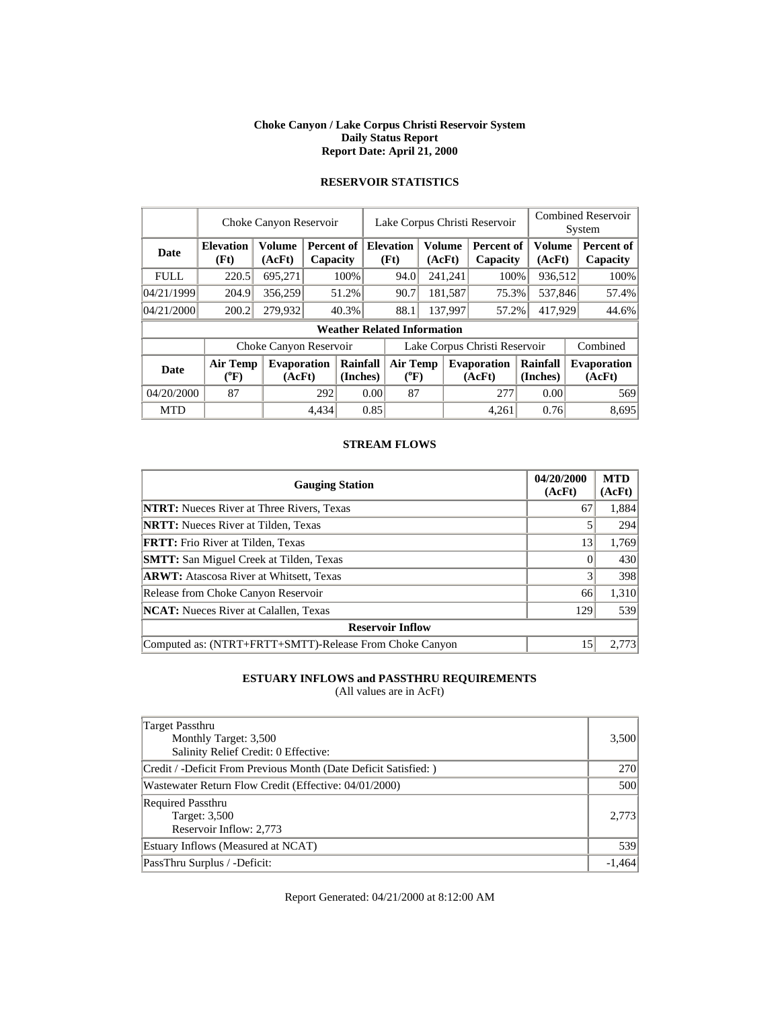#### **Choke Canyon / Lake Corpus Christi Reservoir System Daily Status Report Report Date: April 21, 2000**

|             |                              | Choke Canyon Reservoir       |       |                        | Lake Corpus Christi Reservoir |                                                     |         |         |                               |  |                      |  | <b>Combined Reservoir</b><br>System |
|-------------|------------------------------|------------------------------|-------|------------------------|-------------------------------|-----------------------------------------------------|---------|---------|-------------------------------|--|----------------------|--|-------------------------------------|
| Date        | <b>Elevation</b><br>(Ft)     | <b>Volume</b><br>(AcFt)      |       | Percent of<br>Capacity |                               | <b>Volume</b><br><b>Elevation</b><br>(Ft)<br>(AcFt) |         |         | <b>Percent of</b><br>Capacity |  | Volume<br>(AcFt)     |  | Percent of<br>Capacity              |
| <b>FULL</b> | 220.5                        | 695,271                      |       | 100%                   |                               | 94.0                                                |         | 241,241 | 100%                          |  | 936,512              |  | 100%                                |
| 04/21/1999  | 204.9                        | 356,259                      |       | 51.2%                  |                               | 90.7                                                |         | 181,587 | 75.3%                         |  | 537,846              |  | 57.4%                               |
| 04/21/2000  | 200.2                        | 279,932                      |       | 40.3%                  |                               | 88.1                                                | 137.997 |         | 57.2%                         |  | 417,929              |  | 44.6%                               |
|             |                              |                              |       |                        |                               | <b>Weather Related Information</b>                  |         |         |                               |  |                      |  |                                     |
|             |                              | Choke Canyon Reservoir       |       |                        |                               |                                                     |         |         | Lake Corpus Christi Reservoir |  |                      |  | Combined                            |
| <b>Date</b> | <b>Air Temp</b><br>$(^{0}F)$ | <b>Evaporation</b><br>(AcFt) |       | Rainfall<br>(Inches)   |                               | <b>Air Temp</b><br>$(^{0}F)$                        |         |         | <b>Evaporation</b><br>(AcFt)  |  | Rainfall<br>(Inches) |  | <b>Evaporation</b><br>(AcFt)        |
| 04/20/2000  | 87                           |                              | 292   |                        | 0.00                          | 87                                                  |         |         | 277                           |  | 0.00                 |  | 569                                 |
| <b>MTD</b>  |                              |                              | 4,434 |                        | 0.85                          |                                                     |         |         | 4.261                         |  | 0.76                 |  | 8,695                               |

# **RESERVOIR STATISTICS**

#### **STREAM FLOWS**

| <b>Gauging Station</b>                                  | 04/20/2000<br>(AcFt) | <b>MTD</b><br>(AcFt) |
|---------------------------------------------------------|----------------------|----------------------|
| <b>NTRT:</b> Nueces River at Three Rivers, Texas        | 67                   | 1,884                |
| <b>NRTT:</b> Nueces River at Tilden, Texas              |                      | 294                  |
| <b>FRTT:</b> Frio River at Tilden, Texas                | 13                   | 1,769                |
| <b>SMTT:</b> San Miguel Creek at Tilden, Texas          |                      | 430                  |
| <b>ARWT:</b> Atascosa River at Whitsett, Texas          |                      | 398                  |
| Release from Choke Canyon Reservoir                     | 66                   | 1,310                |
| <b>NCAT:</b> Nueces River at Calallen, Texas            | 129                  | 539                  |
| <b>Reservoir Inflow</b>                                 |                      |                      |
| Computed as: (NTRT+FRTT+SMTT)-Release From Choke Canyon | 15                   | 2.773                |

# **ESTUARY INFLOWS and PASSTHRU REQUIREMENTS**

(All values are in AcFt)

| <b>Target Passthru</b><br>Monthly Target: 3,500<br>Salinity Relief Credit: 0 Effective: | 3,500    |
|-----------------------------------------------------------------------------------------|----------|
| Credit / -Deficit From Previous Month (Date Deficit Satisfied:)                         | 270      |
| Wastewater Return Flow Credit (Effective: 04/01/2000)                                   | 500      |
| <b>Required Passthru</b><br>Target: 3,500<br>Reservoir Inflow: 2,773                    | 2.773    |
| Estuary Inflows (Measured at NCAT)                                                      | 539      |
| PassThru Surplus / -Deficit:                                                            | $-1,464$ |

Report Generated: 04/21/2000 at 8:12:00 AM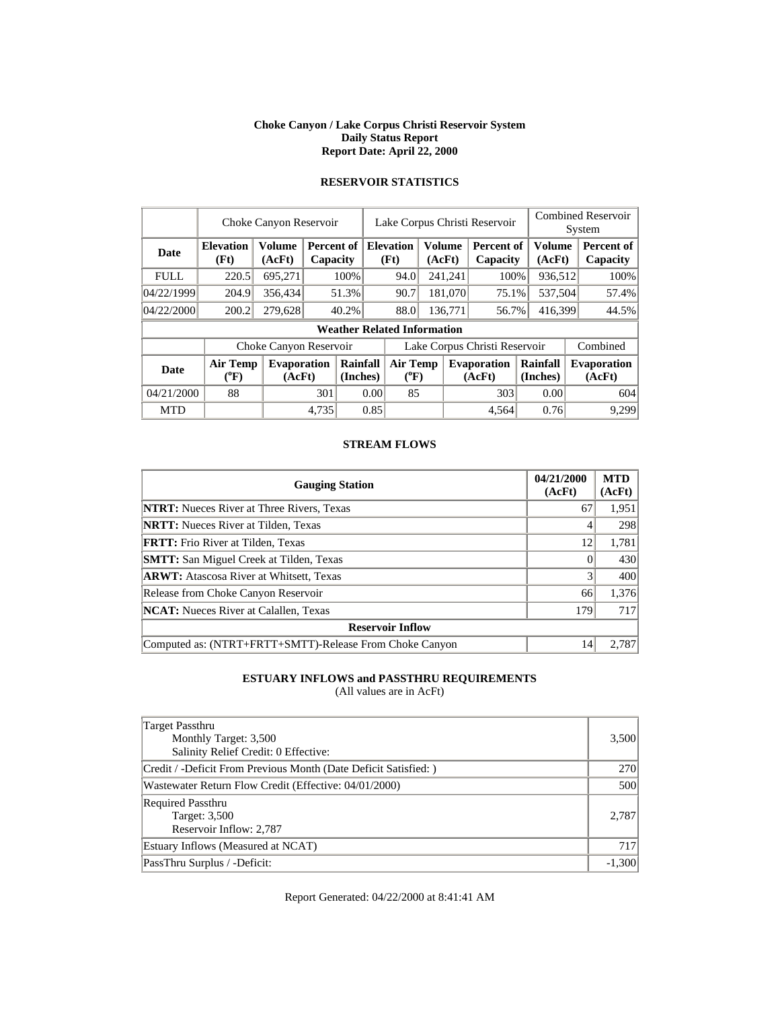#### **Choke Canyon / Lake Corpus Christi Reservoir System Daily Status Report Report Date: April 22, 2000**

|             |                                       | Choke Canyon Reservoir       |       |                        | Lake Corpus Christi Reservoir |                                              |  |         |                               |                      |                  | <b>Combined Reservoir</b><br>System |       |  |  |
|-------------|---------------------------------------|------------------------------|-------|------------------------|-------------------------------|----------------------------------------------|--|---------|-------------------------------|----------------------|------------------|-------------------------------------|-------|--|--|
| Date        | <b>Elevation</b><br>(Ft)              | <b>Volume</b><br>(AcFt)      |       | Percent of<br>Capacity |                               | Volume<br><b>Elevation</b><br>(Ft)<br>(AcFt) |  |         | Percent of<br>Capacity        |                      | Volume<br>(AcFt) | Percent of<br>Capacity              |       |  |  |
| <b>FULL</b> | 220.5                                 | 695,271                      |       | 100%                   |                               | 94.0                                         |  | 241,241 | 100%                          |                      | 936,512          |                                     | 100%  |  |  |
| 04/22/1999  | 204.9                                 | 356,434                      |       | 51.3%                  |                               | 90.7                                         |  | 181,070 | 75.1%                         |                      | 537,504          | 57.4%                               |       |  |  |
| 04/22/2000  | 200.2                                 | 279,628                      |       | 40.2%                  |                               | 88.0                                         |  | 136,771 | 56.7%                         | 416,399              |                  | 44.5%                               |       |  |  |
|             |                                       |                              |       |                        |                               | <b>Weather Related Information</b>           |  |         |                               |                      |                  |                                     |       |  |  |
|             |                                       | Choke Canyon Reservoir       |       |                        |                               |                                              |  |         | Lake Corpus Christi Reservoir |                      |                  | Combined                            |       |  |  |
| Date        | <b>Air Temp</b><br>$(^{0}\mathrm{F})$ | <b>Evaporation</b><br>(AcFt) |       | Rainfall<br>(Inches)   |                               | Air Temp<br>$(^{0}F)$                        |  |         | <b>Evaporation</b><br>(AcFt)  | Rainfall<br>(Inches) |                  | <b>Evaporation</b><br>(AcFt)        |       |  |  |
| 04/21/2000  | 88                                    |                              | 301   |                        | 0.00                          | 85                                           |  |         | 303                           |                      | 0.00             |                                     | 604   |  |  |
| <b>MTD</b>  |                                       |                              | 4,735 |                        | 0.85                          |                                              |  |         | 4.564                         |                      | 0.76             |                                     | 9,299 |  |  |

# **RESERVOIR STATISTICS**

#### **STREAM FLOWS**

| <b>Gauging Station</b>                                  | 04/21/2000<br>(AcFt) | <b>MTD</b><br>(AcFt) |
|---------------------------------------------------------|----------------------|----------------------|
| <b>NTRT:</b> Nueces River at Three Rivers, Texas        | 67                   | 1,951                |
| <b>NRTT:</b> Nueces River at Tilden, Texas              | 4                    | 298                  |
| <b>FRTT:</b> Frio River at Tilden, Texas                | 12                   | 1,781                |
| <b>SMTT:</b> San Miguel Creek at Tilden, Texas          |                      | 430                  |
| <b>ARWT:</b> Atascosa River at Whitsett, Texas          |                      | 400                  |
| Release from Choke Canyon Reservoir                     | 66                   | 1,376                |
| <b>NCAT:</b> Nueces River at Calallen, Texas            | 179                  | 717                  |
| <b>Reservoir Inflow</b>                                 |                      |                      |
| Computed as: (NTRT+FRTT+SMTT)-Release From Choke Canyon | 14                   | 2.787                |

# **ESTUARY INFLOWS and PASSTHRU REQUIREMENTS**

(All values are in AcFt)

| <b>Target Passthru</b><br>Monthly Target: 3,500<br>Salinity Relief Credit: 0 Effective: | 3,500    |
|-----------------------------------------------------------------------------------------|----------|
| Credit / -Deficit From Previous Month (Date Deficit Satisfied:)                         | 270      |
| Wastewater Return Flow Credit (Effective: 04/01/2000)                                   | 500      |
| <b>Required Passthru</b><br>Target: 3,500<br>Reservoir Inflow: 2,787                    | 2.787    |
| Estuary Inflows (Measured at NCAT)                                                      | 717      |
| PassThru Surplus / -Deficit:                                                            | $-1,300$ |

Report Generated: 04/22/2000 at 8:41:41 AM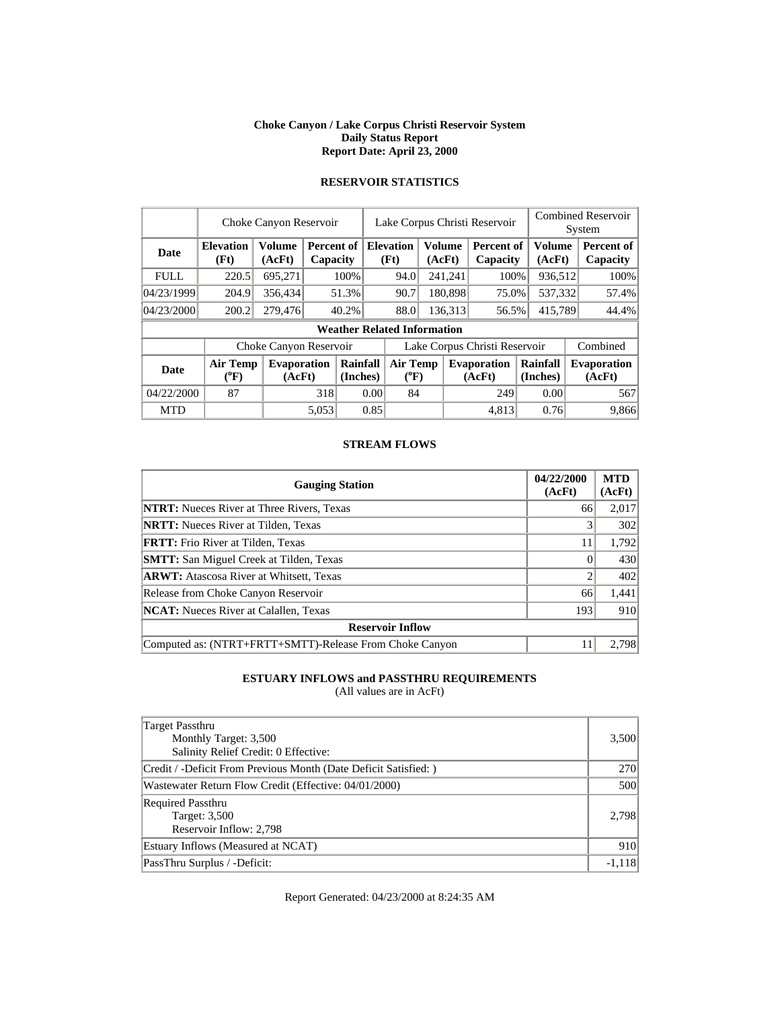#### **Choke Canyon / Lake Corpus Christi Reservoir System Daily Status Report Report Date: April 23, 2000**

|             |                            | Choke Canyon Reservoir       |       |                        |                               |                                    | Lake Corpus Christi Reservoir |                         |                               |  |                      |  | <b>Combined Reservoir</b><br>System |  |  |
|-------------|----------------------------|------------------------------|-------|------------------------|-------------------------------|------------------------------------|-------------------------------|-------------------------|-------------------------------|--|----------------------|--|-------------------------------------|--|--|
| <b>Date</b> | <b>Elevation</b><br>(Ft)   | <b>Volume</b><br>(AcFt)      |       | Percent of<br>Capacity |                               | <b>Elevation</b><br>(Ft)           |                               | <b>Volume</b><br>(AcFt) | <b>Percent of</b><br>Capacity |  | Volume<br>(AcFt)     |  | Percent of<br>Capacity              |  |  |
| <b>FULL</b> | 220.5                      | 695,271                      |       | 100%                   |                               | 94.0                               |                               | 241,241                 | 100%                          |  | 936,512              |  | 100%                                |  |  |
| 04/23/1999  | 204.9                      | 356,434                      |       | 51.3%                  |                               | 90.7                               |                               | 180,898                 | 75.0%                         |  | 537,332              |  | 57.4%                               |  |  |
| 04/23/2000  | 200.2                      | 279,476                      |       | 40.2%                  |                               | 88.0                               | 136,313                       |                         | 56.5%                         |  | 415,789              |  | 44.4%                               |  |  |
|             |                            |                              |       |                        |                               | <b>Weather Related Information</b> |                               |                         |                               |  |                      |  |                                     |  |  |
|             |                            | Choke Canyon Reservoir       |       |                        | Lake Corpus Christi Reservoir |                                    |                               |                         |                               |  |                      |  | Combined                            |  |  |
| <b>Date</b> | <b>Air Temp</b><br>$(^oF)$ | <b>Evaporation</b><br>(AcFt) |       | Rainfall<br>(Inches)   |                               | <b>Air Temp</b><br>$(^{0}F)$       |                               |                         | <b>Evaporation</b><br>(AcFt)  |  | Rainfall<br>(Inches) |  | <b>Evaporation</b><br>(AcFt)        |  |  |
| 04/22/2000  | 87                         |                              | 318   |                        | 0.00                          | 84                                 |                               |                         | 249                           |  | 0.00                 |  | 567                                 |  |  |
| <b>MTD</b>  |                            |                              | 5.053 |                        | 0.85                          |                                    |                               |                         | 4.813                         |  | 0.76                 |  | 9.866                               |  |  |

# **RESERVOIR STATISTICS**

#### **STREAM FLOWS**

| <b>Gauging Station</b>                                  | 04/22/2000<br>(AcFt) | <b>MTD</b><br>(AcFt) |
|---------------------------------------------------------|----------------------|----------------------|
| <b>NTRT:</b> Nueces River at Three Rivers, Texas        | 66                   | 2,017                |
| <b>NRTT:</b> Nueces River at Tilden, Texas              |                      | 302                  |
| <b>FRTT:</b> Frio River at Tilden, Texas                | 11                   | 1,792                |
| <b>SMTT:</b> San Miguel Creek at Tilden, Texas          |                      | 430                  |
| <b>ARWT:</b> Atascosa River at Whitsett, Texas          |                      | 402                  |
| Release from Choke Canyon Reservoir                     | 66                   | 1,441                |
| <b>NCAT:</b> Nueces River at Calallen, Texas            | 193                  | 910                  |
| <b>Reservoir Inflow</b>                                 |                      |                      |
| Computed as: (NTRT+FRTT+SMTT)-Release From Choke Canyon |                      | 2.798                |

# **ESTUARY INFLOWS and PASSTHRU REQUIREMENTS**

(All values are in AcFt)

| Target Passthru<br>Monthly Target: 3,500<br>Salinity Relief Credit: 0 Effective: | 3,500    |
|----------------------------------------------------------------------------------|----------|
| Credit / -Deficit From Previous Month (Date Deficit Satisfied:)                  | 270      |
| Wastewater Return Flow Credit (Effective: 04/01/2000)                            | 500      |
| <b>Required Passthru</b><br>Target: 3,500<br>Reservoir Inflow: 2,798             | 2.798    |
| Estuary Inflows (Measured at NCAT)                                               | 910      |
| PassThru Surplus / -Deficit:                                                     | $-1,118$ |

Report Generated: 04/23/2000 at 8:24:35 AM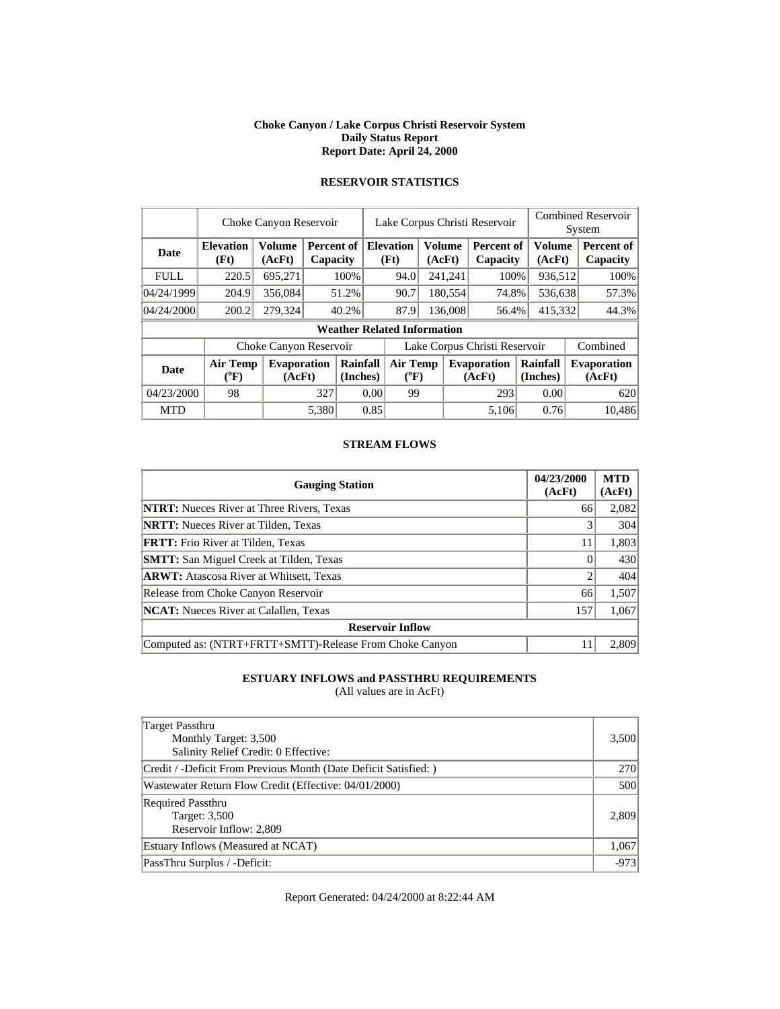#### **Choke Canyon / Lake Corpus Christi Reservoir System Daily Status Report Report Date: April 24, 2000**

|             | Choke Canyon Reservoir       |                              |       |                                    |                               | Lake Corpus Christi Reservoir                       |         |         |                               |  |                         | <b>Combined Reservoir</b><br>System |                              |  |
|-------------|------------------------------|------------------------------|-------|------------------------------------|-------------------------------|-----------------------------------------------------|---------|---------|-------------------------------|--|-------------------------|-------------------------------------|------------------------------|--|
| <b>Date</b> | <b>Elevation</b><br>(Ft)     | <b>Volume</b><br>(AcFt)      |       | Percent of<br>Capacity             |                               | <b>Elevation</b><br><b>Volume</b><br>(Ft)<br>(AcFt) |         |         | <b>Percent of</b><br>Capacity |  | <b>Volume</b><br>(AcFt) |                                     | Percent of<br>Capacity       |  |
| <b>FULL</b> | 220.5                        | 695,271                      |       | 100%                               |                               | 94.0                                                |         | 241,241 | 100%                          |  | 936,512                 |                                     | 100%                         |  |
| 04/24/1999  | 204.9                        | 356,084                      |       | 51.2%                              |                               | 90.7                                                |         | 180,554 | 74.8%                         |  | 536,638                 |                                     | 57.3%                        |  |
| 04/24/2000  | 200.2                        | 279,324                      |       | 40.2%                              |                               | 87.9                                                | 136,008 |         | 56.4%                         |  | 415,332                 |                                     | 44.3%                        |  |
|             |                              |                              |       | <b>Weather Related Information</b> |                               |                                                     |         |         |                               |  |                         |                                     |                              |  |
|             |                              | Choke Canyon Reservoir       |       |                                    | Lake Corpus Christi Reservoir |                                                     |         |         |                               |  |                         |                                     | Combined                     |  |
| <b>Date</b> | <b>Air Temp</b><br>$(^{0}F)$ | <b>Evaporation</b><br>(AcFt) |       | Rainfall<br>(Inches)               |                               | <b>Air Temp</b><br>$(^{0}F)$                        |         |         | <b>Evaporation</b><br>(AcFt)  |  | Rainfall<br>(Inches)    |                                     | <b>Evaporation</b><br>(AcFt) |  |
| 04/23/2000  | 98                           |                              | 327   | 0.00                               |                               | 99                                                  |         |         | 293                           |  | 0.00                    |                                     | 620                          |  |
| <b>MTD</b>  |                              |                              | 5.380 |                                    | 0.85                          |                                                     |         |         | 5.106                         |  | 0.76                    |                                     | 10.486                       |  |

# **RESERVOIR STATISTICS**

#### **STREAM FLOWS**

| <b>Gauging Station</b>                                  | 04/23/2000<br>(AcFt) | <b>MTD</b><br>(AcFt) |
|---------------------------------------------------------|----------------------|----------------------|
| <b>NTRT:</b> Nueces River at Three Rivers, Texas        | 66                   | 2,082                |
| <b>NRTT:</b> Nueces River at Tilden, Texas              |                      | 304                  |
| <b>FRTT:</b> Frio River at Tilden, Texas                | 11                   | 1,803                |
| <b>SMTT:</b> San Miguel Creek at Tilden, Texas          |                      | 430                  |
| <b>ARWT:</b> Atascosa River at Whitsett, Texas          |                      | 404                  |
| Release from Choke Canyon Reservoir                     | 66                   | 1,507                |
| <b>NCAT:</b> Nueces River at Calallen, Texas            | 157                  | 1,067                |
| <b>Reservoir Inflow</b>                                 |                      |                      |
| Computed as: (NTRT+FRTT+SMTT)-Release From Choke Canyon | 11                   | 2,809                |

# **ESTUARY INFLOWS and PASSTHRU REQUIREMENTS**

(All values are in AcFt)

| <b>Target Passthru</b><br>Monthly Target: 3,500<br>Salinity Relief Credit: 0 Effective: | 3,500      |
|-----------------------------------------------------------------------------------------|------------|
| Credit / -Deficit From Previous Month (Date Deficit Satisfied:)                         | <b>270</b> |
| Wastewater Return Flow Credit (Effective: 04/01/2000)                                   | 500        |
| <b>Required Passthru</b><br>Target: 3,500<br>Reservoir Inflow: 2,809                    | 2.809      |
| Estuary Inflows (Measured at NCAT)                                                      | 1,067      |
| PassThru Surplus / -Deficit:                                                            | $-973$     |

Report Generated: 04/24/2000 at 8:22:44 AM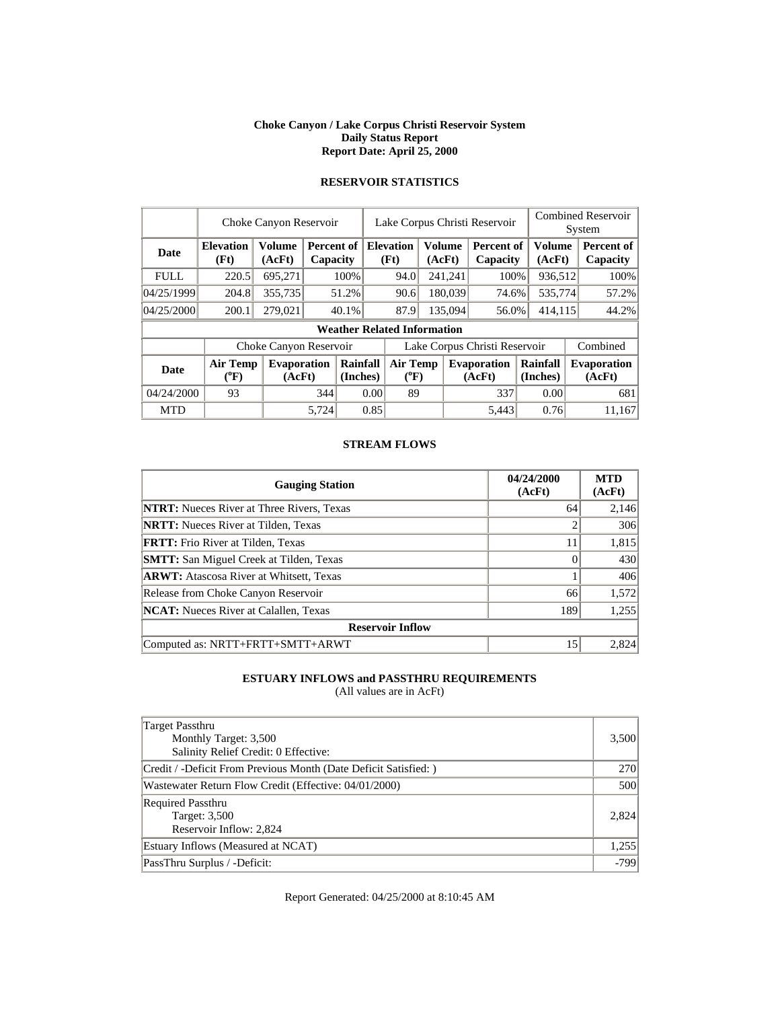#### **Choke Canyon / Lake Corpus Christi Reservoir System Daily Status Report Report Date: April 25, 2000**

|             | Choke Canyon Reservoir     |                              |       |                                    |                               | Lake Corpus Christi Reservoir |         |                         |                              |                      |  | <b>Combined Reservoir</b><br>System |  |  |
|-------------|----------------------------|------------------------------|-------|------------------------------------|-------------------------------|-------------------------------|---------|-------------------------|------------------------------|----------------------|--|-------------------------------------|--|--|
| <b>Date</b> | <b>Elevation</b><br>(Ft)   | <b>Volume</b><br>(AcFt)      |       | Percent of<br>Capacity             |                               | <b>Elevation</b><br>(Ft)      |         | <b>Volume</b><br>(AcFt) | Percent of<br>Capacity       | Volume<br>(AcFt)     |  | Percent of<br>Capacity              |  |  |
| <b>FULL</b> | 220.5                      | 695,271                      |       | 100%                               |                               | 94.0                          |         | 241,241                 | 100%                         | 936,512              |  | 100%                                |  |  |
| 04/25/1999  | 204.8                      | 355,735                      |       | 51.2%                              |                               | 180,039<br>90.6               |         |                         | 74.6%                        | 535,774              |  | 57.2%                               |  |  |
| 04/25/2000  | 200.1                      | 279,021                      |       | 40.1%                              |                               | 87.9                          | 135,094 |                         | 56.0%                        | 414,115              |  | 44.2%                               |  |  |
|             |                            |                              |       | <b>Weather Related Information</b> |                               |                               |         |                         |                              |                      |  |                                     |  |  |
|             |                            | Choke Canyon Reservoir       |       |                                    | Lake Corpus Christi Reservoir |                               |         |                         |                              |                      |  | Combined                            |  |  |
| <b>Date</b> | <b>Air Temp</b><br>$(^oF)$ | <b>Evaporation</b><br>(AcFt) |       | Rainfall<br>(Inches)               |                               | <b>Air Temp</b><br>$(^{0}F)$  |         |                         | <b>Evaporation</b><br>(AcFt) | Rainfall<br>(Inches) |  | <b>Evaporation</b><br>(AcFt)        |  |  |
| 04/24/2000  | 93                         |                              | 344   | 0.00                               |                               | 89                            |         |                         | 337                          | 0.00                 |  | 681                                 |  |  |
| <b>MTD</b>  |                            |                              | 5.724 |                                    | 0.85                          |                               |         |                         | 5.443                        | 0.76                 |  | 11.167                              |  |  |

# **RESERVOIR STATISTICS**

#### **STREAM FLOWS**

| <b>Gauging Station</b>                           | 04/24/2000<br>(AcFt) | <b>MTD</b><br>(AcFt) |
|--------------------------------------------------|----------------------|----------------------|
| <b>NTRT:</b> Nueces River at Three Rivers, Texas | 64                   | 2,146                |
| <b>NRTT:</b> Nueces River at Tilden, Texas       |                      | 306                  |
| <b>FRTT:</b> Frio River at Tilden, Texas         | 11                   | 1,815                |
| <b>SMTT:</b> San Miguel Creek at Tilden, Texas   |                      | 430                  |
| <b>ARWT:</b> Atascosa River at Whitsett, Texas   |                      | 406                  |
| Release from Choke Canyon Reservoir              | 66                   | 1,572                |
| <b>NCAT:</b> Nueces River at Calallen. Texas     | 189                  | 1,255                |
| <b>Reservoir Inflow</b>                          |                      |                      |
| Computed as: NRTT+FRTT+SMTT+ARWT                 | 15                   | 2,824                |

# **ESTUARY INFLOWS and PASSTHRU REQUIREMENTS**

(All values are in AcFt)

| Target Passthru<br>Monthly Target: 3,500<br>Salinity Relief Credit: 0 Effective: | 3,500      |
|----------------------------------------------------------------------------------|------------|
| Credit / -Deficit From Previous Month (Date Deficit Satisfied: )                 | <b>270</b> |
| Wastewater Return Flow Credit (Effective: 04/01/2000)                            | 500        |
| <b>Required Passthru</b><br>Target: 3,500<br>Reservoir Inflow: 2,824             | 2.824      |
| Estuary Inflows (Measured at NCAT)                                               | 1,255      |
| PassThru Surplus / -Deficit:                                                     | $-799$     |

Report Generated: 04/25/2000 at 8:10:45 AM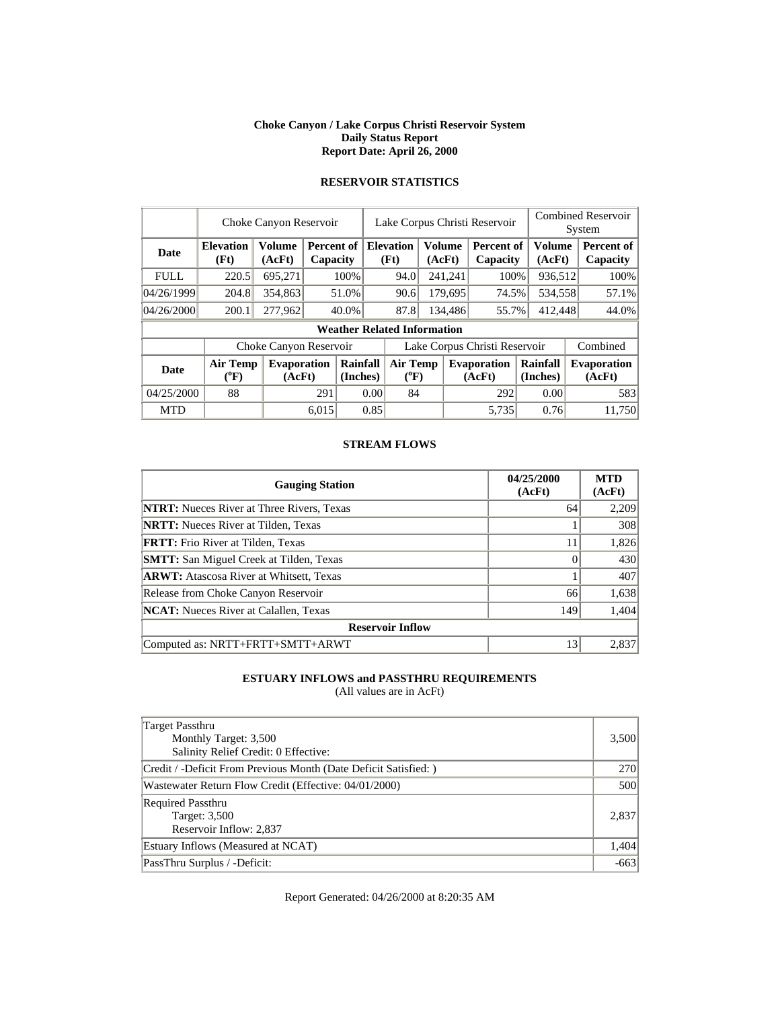#### **Choke Canyon / Lake Corpus Christi Reservoir System Daily Status Report Report Date: April 26, 2000**

|             | Choke Canyon Reservoir                |                              |       |                        |                               | Lake Corpus Christi Reservoir                       |         |         |                               |                      |                         | <b>Combined Reservoir</b><br>System |                              |  |
|-------------|---------------------------------------|------------------------------|-------|------------------------|-------------------------------|-----------------------------------------------------|---------|---------|-------------------------------|----------------------|-------------------------|-------------------------------------|------------------------------|--|
| <b>Date</b> | <b>Elevation</b><br>(Ft)              | <b>Volume</b><br>(AcFt)      |       | Percent of<br>Capacity |                               | <b>Elevation</b><br><b>Volume</b><br>(Ft)<br>(AcFt) |         |         | <b>Percent of</b><br>Capacity |                      | <b>Volume</b><br>(AcFt) |                                     | Percent of<br>Capacity       |  |
| <b>FULL</b> | 220.5                                 | 695,271                      |       | 100%                   |                               | 94.0                                                |         | 241,241 | 100%                          |                      | 936,512                 |                                     | 100%                         |  |
| 04/26/1999  | 204.8                                 | 354,863                      |       | 51.0%                  |                               | 90.6                                                | 179,695 |         | 74.5%                         |                      | 534,558                 |                                     | 57.1%                        |  |
| 04/26/2000  | 200.1                                 | 277,962                      |       | 40.0%                  |                               | 87.8                                                | 134,486 |         | 55.7%                         | 412,448              |                         |                                     | 44.0%                        |  |
|             |                                       |                              |       |                        |                               | <b>Weather Related Information</b>                  |         |         |                               |                      |                         |                                     |                              |  |
|             |                                       | Choke Canyon Reservoir       |       |                        | Lake Corpus Christi Reservoir |                                                     |         |         |                               |                      |                         |                                     | Combined                     |  |
| <b>Date</b> | <b>Air Temp</b><br>$({}^o\mathrm{F})$ | <b>Evaporation</b><br>(AcFt) |       | Rainfall<br>(Inches)   |                               | <b>Air Temp</b><br>$(^{0}F)$                        |         |         | <b>Evaporation</b><br>(AcFt)  | Rainfall<br>(Inches) |                         |                                     | <b>Evaporation</b><br>(AcFt) |  |
| 04/25/2000  | 88                                    |                              | 291   | 0.00                   |                               | 84                                                  |         |         | 292                           |                      | 0.00                    |                                     | 583                          |  |
| <b>MTD</b>  |                                       |                              | 6.015 |                        | 0.85                          |                                                     |         |         | 5.735                         |                      | 0.76                    |                                     | 11.750                       |  |

# **RESERVOIR STATISTICS**

#### **STREAM FLOWS**

| <b>Gauging Station</b>                           | 04/25/2000<br>(AcFt) | <b>MTD</b><br>(AcFt) |
|--------------------------------------------------|----------------------|----------------------|
| <b>NTRT:</b> Nueces River at Three Rivers, Texas | 64                   | 2,209                |
| <b>NRTT:</b> Nueces River at Tilden, Texas       |                      | 308                  |
| <b>FRTT:</b> Frio River at Tilden, Texas         | 11                   | 1,826                |
| <b>SMTT:</b> San Miguel Creek at Tilden, Texas   |                      | 430                  |
| <b>ARWT:</b> Atascosa River at Whitsett, Texas   |                      | 407                  |
| Release from Choke Canyon Reservoir              | 66                   | 1,638                |
| <b>NCAT:</b> Nueces River at Calallen. Texas     | 149                  | 1,404                |
| <b>Reservoir Inflow</b>                          |                      |                      |
| Computed as: NRTT+FRTT+SMTT+ARWT                 | 13                   | 2,837                |

# **ESTUARY INFLOWS and PASSTHRU REQUIREMENTS**

(All values are in AcFt)

| Target Passthru<br>Monthly Target: 3,500<br>Salinity Relief Credit: 0 Effective: | 3,500  |
|----------------------------------------------------------------------------------|--------|
| Credit / -Deficit From Previous Month (Date Deficit Satisfied:)                  | 270    |
| Wastewater Return Flow Credit (Effective: 04/01/2000)                            | 500    |
| <b>Required Passthru</b><br>Target: 3,500<br>Reservoir Inflow: 2,837             | 2.837  |
| Estuary Inflows (Measured at NCAT)                                               | 1,404  |
| PassThru Surplus / -Deficit:                                                     | $-663$ |

Report Generated: 04/26/2000 at 8:20:35 AM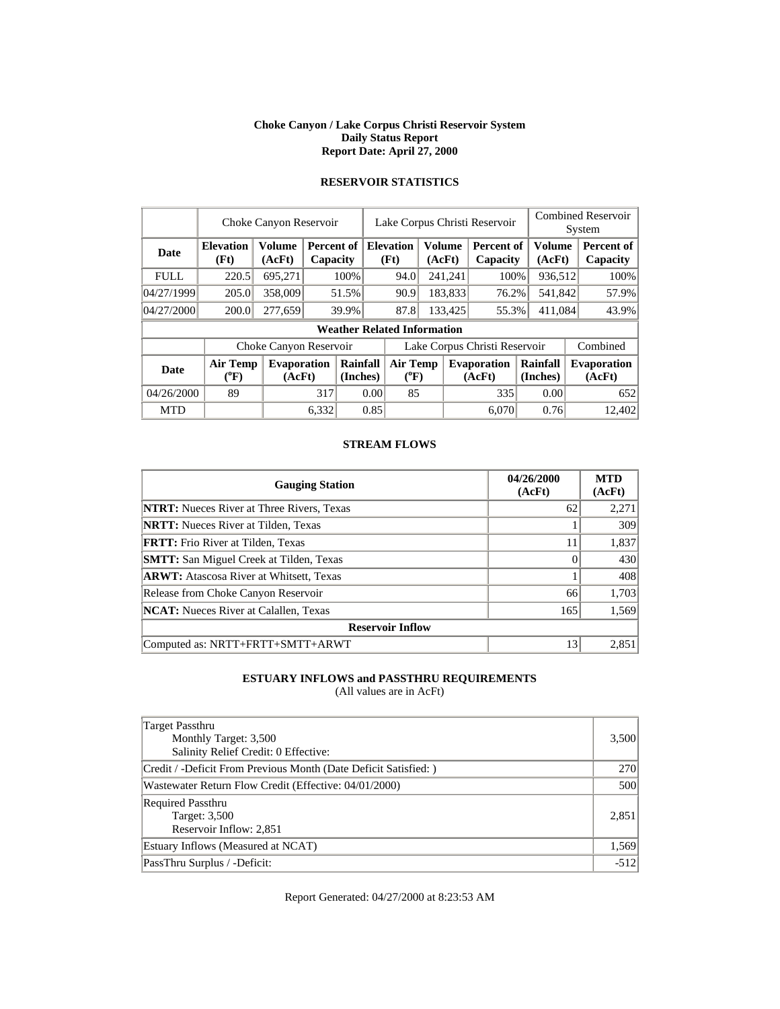#### **Choke Canyon / Lake Corpus Christi Reservoir System Daily Status Report Report Date: April 27, 2000**

|             | Choke Canyon Reservoir             |                              |       |                        |                               | Lake Corpus Christi Reservoir |                              |                         |                               |                      |                  | <b>Combined Reservoir</b><br>System |
|-------------|------------------------------------|------------------------------|-------|------------------------|-------------------------------|-------------------------------|------------------------------|-------------------------|-------------------------------|----------------------|------------------|-------------------------------------|
| <b>Date</b> | <b>Elevation</b><br>(Ft)           | <b>Volume</b><br>(AcFt)      |       | Percent of<br>Capacity |                               | <b>Elevation</b><br>(Ft)      |                              | <b>Volume</b><br>(AcFt) | <b>Percent of</b><br>Capacity |                      | Volume<br>(AcFt) | Percent of<br>Capacity              |
| <b>FULL</b> | 220.5                              | 695,271                      |       | 100%                   |                               | 94.0                          |                              | 241,241                 | 100%                          |                      | 936,512          | 100%                                |
| 04/27/1999  | 205.0                              | 358,009                      |       | 51.5%                  |                               | 90.9                          |                              | 183,833                 |                               | 541,842<br>76.2%     |                  | 57.9%                               |
| 04/27/2000  | 200.0                              | 277,659                      |       | 39.9%                  |                               | 87.8                          | 133.425                      |                         | 55.3%                         | 411,084              |                  | 43.9%                               |
|             | <b>Weather Related Information</b> |                              |       |                        |                               |                               |                              |                         |                               |                      |                  |                                     |
|             |                                    | Choke Canyon Reservoir       |       |                        | Lake Corpus Christi Reservoir |                               |                              |                         |                               |                      |                  | Combined                            |
| <b>Date</b> | <b>Air Temp</b><br>(°F)            | <b>Evaporation</b><br>(AcFt) |       | Rainfall<br>(Inches)   |                               |                               | <b>Air Temp</b><br>$(^{0}F)$ |                         | <b>Evaporation</b><br>(AcFt)  | Rainfall<br>(Inches) |                  | <b>Evaporation</b><br>(AcFt)        |
| 04/26/2000  | 89                                 |                              | 317   | 0.00                   |                               | 85                            |                              |                         | 335                           |                      | 0.00             | 652                                 |
| <b>MTD</b>  |                                    |                              | 6.332 |                        | 0.85                          |                               |                              |                         | 6.070                         |                      | 0.76             | 12.402                              |

# **RESERVOIR STATISTICS**

#### **STREAM FLOWS**

| <b>Gauging Station</b>                           | 04/26/2000<br>(AcFt) | <b>MTD</b><br>(AcFt) |
|--------------------------------------------------|----------------------|----------------------|
| <b>NTRT:</b> Nueces River at Three Rivers, Texas | 62                   | 2,271                |
| <b>NRTT:</b> Nueces River at Tilden, Texas       |                      | 309                  |
| <b>FRTT:</b> Frio River at Tilden, Texas         | 11                   | 1,837                |
| <b>SMTT:</b> San Miguel Creek at Tilden, Texas   |                      | 430                  |
| <b>ARWT:</b> Atascosa River at Whitsett, Texas   |                      | 408                  |
| Release from Choke Canyon Reservoir              | 66                   | 1,703                |
| <b>NCAT:</b> Nueces River at Calallen. Texas     | 165                  | 1,569                |
| <b>Reservoir Inflow</b>                          |                      |                      |
| Computed as: NRTT+FRTT+SMTT+ARWT                 | 13                   | 2,851                |

# **ESTUARY INFLOWS and PASSTHRU REQUIREMENTS**

(All values are in AcFt)

| Target Passthru<br>Monthly Target: 3,500<br>Salinity Relief Credit: 0 Effective: | 3,500      |
|----------------------------------------------------------------------------------|------------|
| Credit / -Deficit From Previous Month (Date Deficit Satisfied:)                  | <b>270</b> |
| Wastewater Return Flow Credit (Effective: 04/01/2000)                            | 500        |
| <b>Required Passthru</b><br>Target: 3,500<br>Reservoir Inflow: 2,851             | 2,851      |
| Estuary Inflows (Measured at NCAT)                                               | 1,569      |
| PassThru Surplus / -Deficit:                                                     | $-512$     |

Report Generated: 04/27/2000 at 8:23:53 AM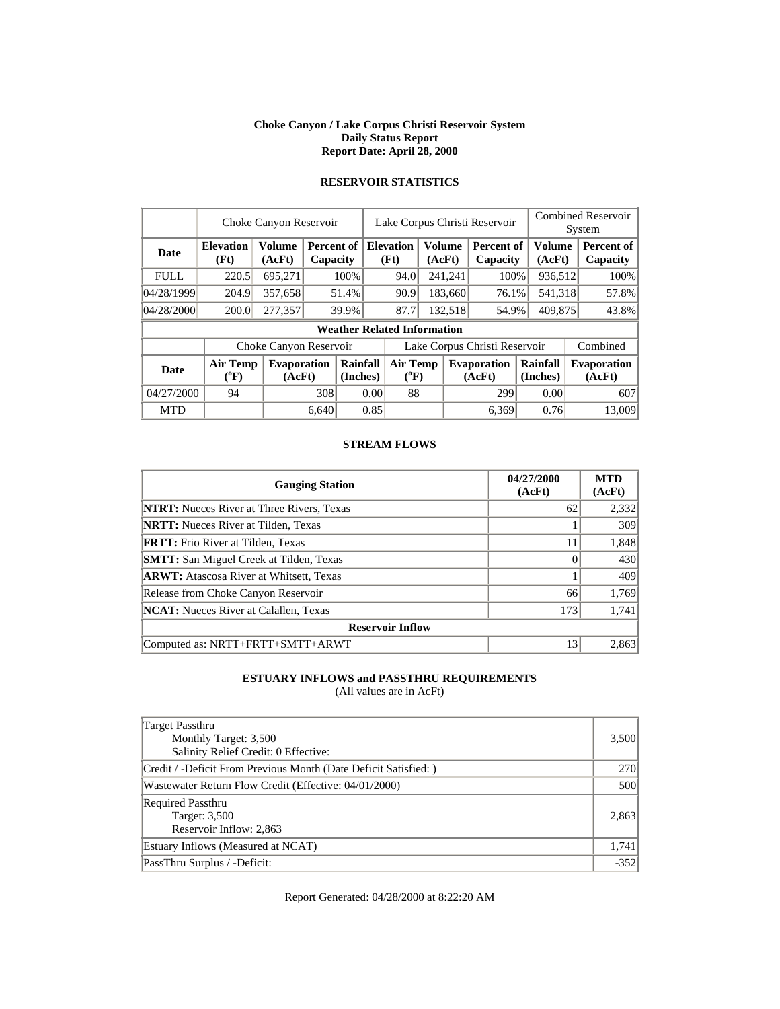#### **Choke Canyon / Lake Corpus Christi Reservoir System Daily Status Report Report Date: April 28, 2000**

|             | Choke Canyon Reservoir       |                              |                        |                      |      | Lake Corpus Christi Reservoir      |                              |                               |                               |                         |  | <b>Combined Reservoir</b><br>System |  |  |
|-------------|------------------------------|------------------------------|------------------------|----------------------|------|------------------------------------|------------------------------|-------------------------------|-------------------------------|-------------------------|--|-------------------------------------|--|--|
| <b>Date</b> | <b>Elevation</b><br>(Ft)     | <b>Volume</b><br>(AcFt)      | Percent of<br>Capacity |                      |      | <b>Elevation</b><br>(Ft)           | <b>Volume</b><br>(AcFt)      |                               | <b>Percent of</b><br>Capacity | <b>Volume</b><br>(AcFt) |  | Percent of<br>Capacity              |  |  |
| <b>FULL</b> | 220.5                        | 695,271                      |                        | 100%                 |      | 94.0                               |                              | 241,241                       | 100%                          | 936,512                 |  | 100%                                |  |  |
| 04/28/1999  | 204.9                        | 357,658                      |                        | 51.4%                |      | 90.9                               |                              | 183,660                       | 76.1%                         | 541,318                 |  | 57.8%                               |  |  |
| 04/28/2000  | 200.0                        | 277,357                      |                        | 39.9%                |      | 87.7                               |                              | 132,518                       | 54.9%                         | 409,875                 |  | 43.8%                               |  |  |
|             |                              |                              |                        |                      |      | <b>Weather Related Information</b> |                              |                               |                               |                         |  |                                     |  |  |
|             | Choke Canyon Reservoir       |                              |                        |                      |      |                                    |                              | Lake Corpus Christi Reservoir | Combined                      |                         |  |                                     |  |  |
| <b>Date</b> | <b>Air Temp</b><br>$(^{0}F)$ | <b>Evaporation</b><br>(AcFt) |                        | Rainfall<br>(Inches) |      |                                    | <b>Air Temp</b><br>$(^{0}F)$ |                               | <b>Evaporation</b><br>(AcFt)  | Rainfall<br>(Inches)    |  | <b>Evaporation</b><br>(AcFt)        |  |  |
| 04/27/2000  | 94                           |                              |                        | 308<br>0.00          |      | 88                                 |                              |                               | 299                           | 0.00                    |  | 607                                 |  |  |
| <b>MTD</b>  |                              |                              | 6.640                  |                      | 0.85 |                                    |                              |                               | 6.369                         | 0.76                    |  | 13,009                              |  |  |

# **RESERVOIR STATISTICS**

#### **STREAM FLOWS**

| <b>Gauging Station</b>                           | 04/27/2000<br>(AcFt) | <b>MTD</b><br>(AcFt) |
|--------------------------------------------------|----------------------|----------------------|
| <b>NTRT:</b> Nueces River at Three Rivers, Texas | 62                   | 2,332                |
| <b>NRTT:</b> Nueces River at Tilden, Texas       |                      | 309                  |
| <b>FRTT:</b> Frio River at Tilden, Texas         | 11                   | 1,848                |
| <b>SMTT:</b> San Miguel Creek at Tilden, Texas   |                      | 430                  |
| <b>ARWT:</b> Atascosa River at Whitsett, Texas   |                      | 409                  |
| Release from Choke Canyon Reservoir              | 66                   | 1,769                |
| <b>NCAT:</b> Nueces River at Calallen. Texas     | 173                  | 1,741                |
| <b>Reservoir Inflow</b>                          |                      |                      |
| Computed as: NRTT+FRTT+SMTT+ARWT                 | 13                   | 2,863                |

# **ESTUARY INFLOWS and PASSTHRU REQUIREMENTS**

(All values are in AcFt)

| Target Passthru<br>Monthly Target: 3,500<br>Salinity Relief Credit: 0 Effective: | 3,500      |
|----------------------------------------------------------------------------------|------------|
| Credit / -Deficit From Previous Month (Date Deficit Satisfied:)                  | <b>270</b> |
| Wastewater Return Flow Credit (Effective: 04/01/2000)                            | 500        |
| <b>Required Passthru</b><br>Target: 3,500<br>Reservoir Inflow: 2,863             | 2,863      |
| Estuary Inflows (Measured at NCAT)                                               | 1,741      |
| PassThru Surplus / -Deficit:                                                     | $-352$     |

Report Generated: 04/28/2000 at 8:22:20 AM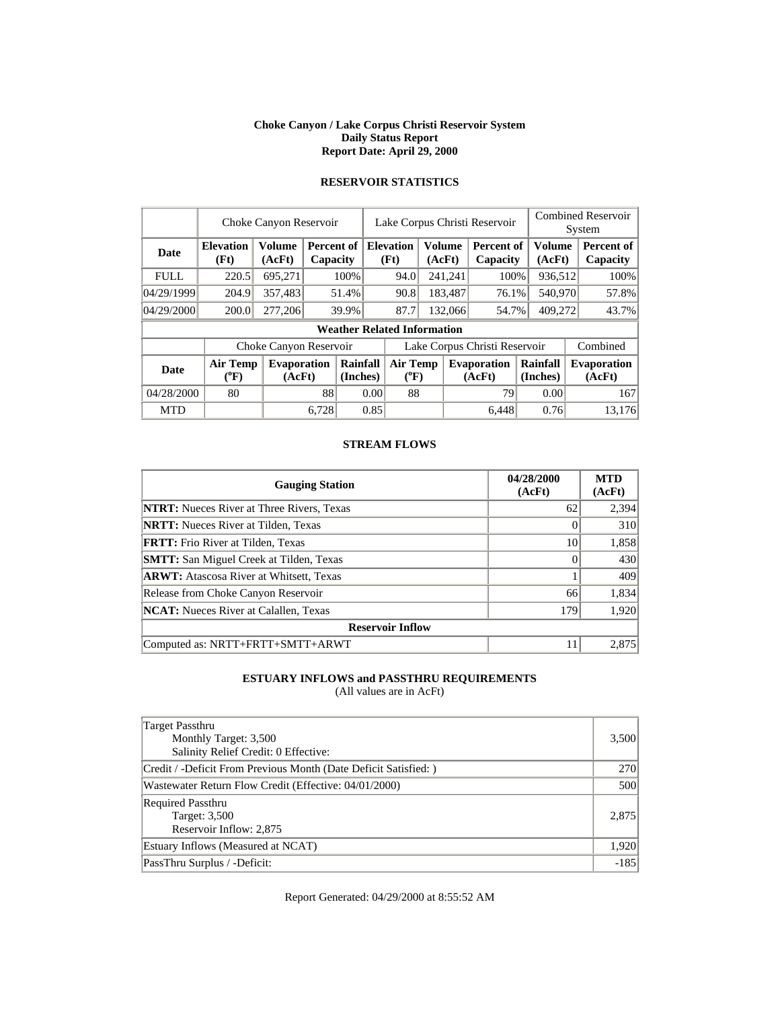#### **Choke Canyon / Lake Corpus Christi Reservoir System Daily Status Report Report Date: April 29, 2000**

|             | Choke Canyon Reservoir     |                              |                          |                      |      | Lake Corpus Christi Reservoir      |                                       |                               |                              | <b>Combined Reservoir</b><br>System |  |                              |
|-------------|----------------------------|------------------------------|--------------------------|----------------------|------|------------------------------------|---------------------------------------|-------------------------------|------------------------------|-------------------------------------|--|------------------------------|
| <b>Date</b> | <b>Elevation</b><br>(Ft)   | <b>Volume</b><br>(AcFt)      | Percent of I<br>Capacity |                      |      | <b>Elevation</b><br>(Ft)           |                                       | <b>Volume</b><br>(AcFt)       | Percent of<br>Capacity       | Volume<br>(AcFt)                    |  | Percent of<br>Capacity       |
| <b>FULL</b> | 220.5                      | 695,271                      |                          | 100%                 |      | 94.0                               |                                       | 241,241                       | 100%                         | 936,512                             |  | 100%                         |
| 04/29/1999  | 204.9                      | 357,483                      |                          | 51.4%                |      | 90.8                               |                                       | 183,487<br>76.1%              |                              | 540,970                             |  | 57.8%                        |
| 04/29/2000  | 200.0                      | 277,206                      |                          | 39.9%                |      | 87.7                               |                                       | 132,066                       | 54.7%                        | 409,272                             |  | 43.7%                        |
|             |                            |                              |                          |                      |      | <b>Weather Related Information</b> |                                       |                               |                              |                                     |  |                              |
|             | Choke Canyon Reservoir     |                              |                          |                      |      |                                    |                                       | Lake Corpus Christi Reservoir | Combined                     |                                     |  |                              |
| <b>Date</b> | <b>Air Temp</b><br>$(^oF)$ | <b>Evaporation</b><br>(AcFt) |                          | Rainfall<br>(Inches) |      |                                    | <b>Air Temp</b><br>$({}^0\mathrm{F})$ |                               | <b>Evaporation</b><br>(AcFt) | Rainfall<br>(Inches)                |  | <b>Evaporation</b><br>(AcFt) |
| 04/28/2000  | 80                         |                              | 88                       | 0.00                 |      | 88                                 |                                       |                               | 79                           | 0.00                                |  | 167                          |
| <b>MTD</b>  |                            |                              | 6.728                    |                      | 0.85 |                                    |                                       |                               | 6.448                        | 0.76                                |  | 13.176                       |

# **RESERVOIR STATISTICS**

#### **STREAM FLOWS**

| <b>Gauging Station</b>                           | 04/28/2000<br>(AcFt) | <b>MTD</b><br>(AcFt) |
|--------------------------------------------------|----------------------|----------------------|
| <b>NTRT:</b> Nueces River at Three Rivers, Texas | 62                   | 2,394                |
| <b>NRTT:</b> Nueces River at Tilden, Texas       |                      | 310                  |
| <b>FRTT:</b> Frio River at Tilden, Texas         | 10                   | 1,858                |
| <b>SMTT:</b> San Miguel Creek at Tilden, Texas   |                      | 430                  |
| <b>ARWT:</b> Atascosa River at Whitsett, Texas   |                      | 409                  |
| Release from Choke Canyon Reservoir              | 66                   | 1,834                |
| <b>NCAT:</b> Nueces River at Calallen. Texas     | 179                  | 1,920                |
| <b>Reservoir Inflow</b>                          |                      |                      |
| Computed as: NRTT+FRTT+SMTT+ARWT                 | 11                   | 2,875                |

# **ESTUARY INFLOWS and PASSTHRU REQUIREMENTS**

(All values are in AcFt)

| Target Passthru<br>Monthly Target: 3,500<br>Salinity Relief Credit: 0 Effective: | 3,500  |
|----------------------------------------------------------------------------------|--------|
| Credit / -Deficit From Previous Month (Date Deficit Satisfied:)                  | 270    |
| Wastewater Return Flow Credit (Effective: 04/01/2000)                            | 500    |
| <b>Required Passthru</b><br>Target: 3,500<br>Reservoir Inflow: 2,875             | 2.875  |
| Estuary Inflows (Measured at NCAT)                                               | 1,920  |
| PassThru Surplus / -Deficit:                                                     | $-185$ |

Report Generated: 04/29/2000 at 8:55:52 AM